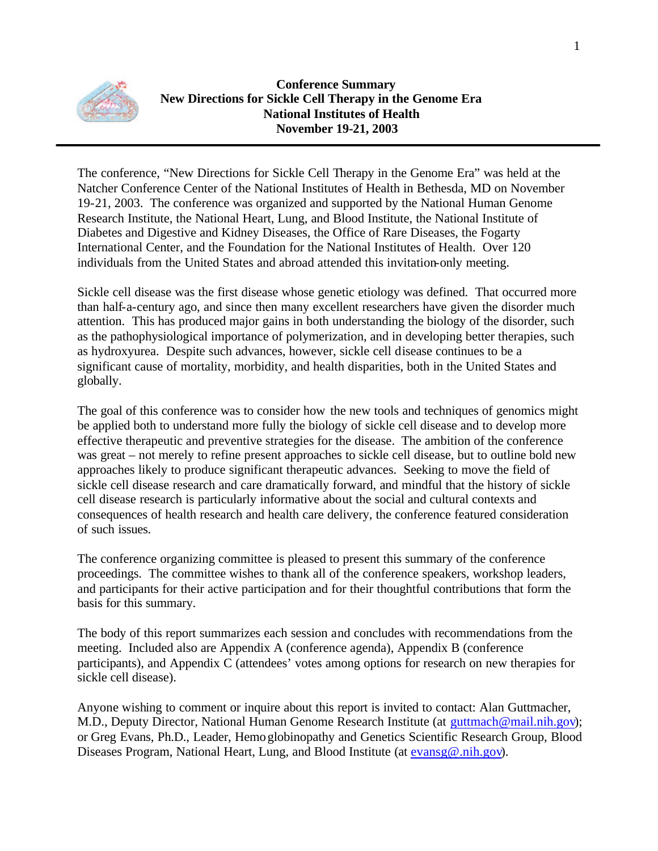

### **Conference Summary New Directions for Sickle Cell Therapy in the Genome Era National Institutes of Health November 19-21, 2003**

The conference, "New Directions for Sickle Cell Therapy in the Genome Era" was held at the Natcher Conference Center of the National Institutes of Health in Bethesda, MD on November 19-21, 2003. The conference was organized and supported by the National Human Genome Research Institute, the National Heart, Lung, and Blood Institute, the National Institute of Diabetes and Digestive and Kidney Diseases, the Office of Rare Diseases, the Fogarty International Center, and the Foundation for the National Institutes of Health. Over 120 individuals from the United States and abroad attended this invitation-only meeting.

Sickle cell disease was the first disease whose genetic etiology was defined. That occurred more than half-a-century ago, and since then many excellent researchers have given the disorder much attention. This has produced major gains in both understanding the biology of the disorder, such as the pathophysiological importance of polymerization, and in developing better therapies, such as hydroxyurea. Despite such advances, however, sickle cell disease continues to be a significant cause of mortality, morbidity, and health disparities, both in the United States and globally.

The goal of this conference was to consider how the new tools and techniques of genomics might be applied both to understand more fully the biology of sickle cell disease and to develop more effective therapeutic and preventive strategies for the disease. The ambition of the conference was great – not merely to refine present approaches to sickle cell disease, but to outline bold new approaches likely to produce significant therapeutic advances. Seeking to move the field of sickle cell disease research and care dramatically forward, and mindful that the history of sickle cell disease research is particularly informative about the social and cultural contexts and consequences of health research and health care delivery, the conference featured consideration of such issues.

The conference organizing committee is pleased to present this summary of the conference proceedings. The committee wishes to thank all of the conference speakers, workshop leaders, and participants for their active participation and for their thoughtful contributions that form the basis for this summary.

The body of this report summarizes each session and concludes with recommendations from the meeting. Included also are Appendix A (conference agenda), Appendix B (conference participants), and Appendix C (attendees' votes among options for research on new therapies for sickle cell disease).

Anyone wishing to comment or inquire about this report is invited to contact: Alan Guttmacher, M.D., Deputy Director, National Human Genome Research Institute (at guttmach@mail.nih.gov); or Greg Evans, Ph.D., Leader, Hemoglobinopathy and Genetics Scientific Research Group, Blood Diseases Program, National Heart, Lung, and Blood Institute (at evansg@.nih.gov).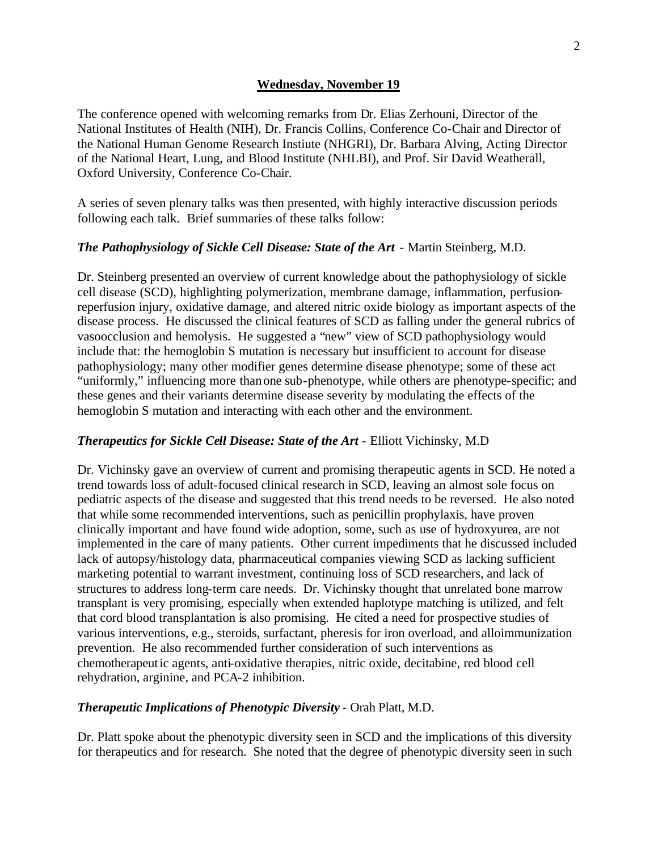#### **Wednesday, November 19**

The conference opened with welcoming remarks from Dr. Elias Zerhouni, Director of the National Institutes of Health (NIH), Dr. Francis Collins, Conference Co-Chair and Director of the National Human Genome Research Instiute (NHGRI), Dr. Barbara Alving, Acting Director of the National Heart, Lung, and Blood Institute (NHLBI), and Prof. Sir David Weatherall, Oxford University, Conference Co-Chair.

A series of seven plenary talks was then presented, with highly interactive discussion periods following each talk. Brief summaries of these talks follow:

#### *The Pathophysiology of Sickle Cell Disease: State of the Art - Martin Steinberg, M.D.*

Dr. Steinberg presented an overview of current knowledge about the pathophysiology of sickle cell disease (SCD), highlighting polymerization, membrane damage, inflammation, perfusionreperfusion injury, oxidative damage, and altered nitric oxide biology as important aspects of the disease process. He discussed the clinical features of SCD as falling under the general rubrics of vasoocclusion and hemolysis. He suggested a "new" view of SCD pathophysiology would include that: the hemoglobin S mutation is necessary but insufficient to account for disease pathophysiology; many other modifier genes determine disease phenotype; some of these act "uniformly," influencing more than one sub-phenotype, while others are phenotype-specific; and these genes and their variants determine disease severity by modulating the effects of the hemoglobin S mutation and interacting with each other and the environment.

#### **Therapeutics for Sickle Cell Disease: State of the Art - Elliott Vichinsky, M.D**

Dr. Vichinsky gave an overview of current and promising therapeutic agents in SCD. He noted a trend towards loss of adult-focused clinical research in SCD, leaving an almost sole focus on pediatric aspects of the disease and suggested that this trend needs to be reversed. He also noted that while some recommended interventions, such as penicillin prophylaxis, have proven clinically important and have found wide adoption, some, such as use of hydroxyurea, are not implemented in the care of many patients. Other current impediments that he discussed included lack of autopsy/histology data, pharmaceutical companies viewing SCD as lacking sufficient marketing potential to warrant investment, continuing loss of SCD researchers, and lack of structures to address long-term care needs. Dr. Vichinsky thought that unrelated bone marrow transplant is very promising, especially when extended haplotype matching is utilized, and felt that cord blood transplantation is also promising. He cited a need for prospective studies of various interventions, e.g., steroids, surfactant, pheresis for iron overload, and alloimmunization prevention. He also recommended further consideration of such interventions as chemotherapeutic agents, anti-oxidative therapies, nitric oxide, decitabine, red blood cell rehydration, arginine, and PCA-2 inhibition.

#### *Therapeutic Implications of Phenotypic Diversity* - Orah Platt, M.D.

Dr. Platt spoke about the phenotypic diversity seen in SCD and the implications of this diversity for therapeutics and for research. She noted that the degree of phenotypic diversity seen in such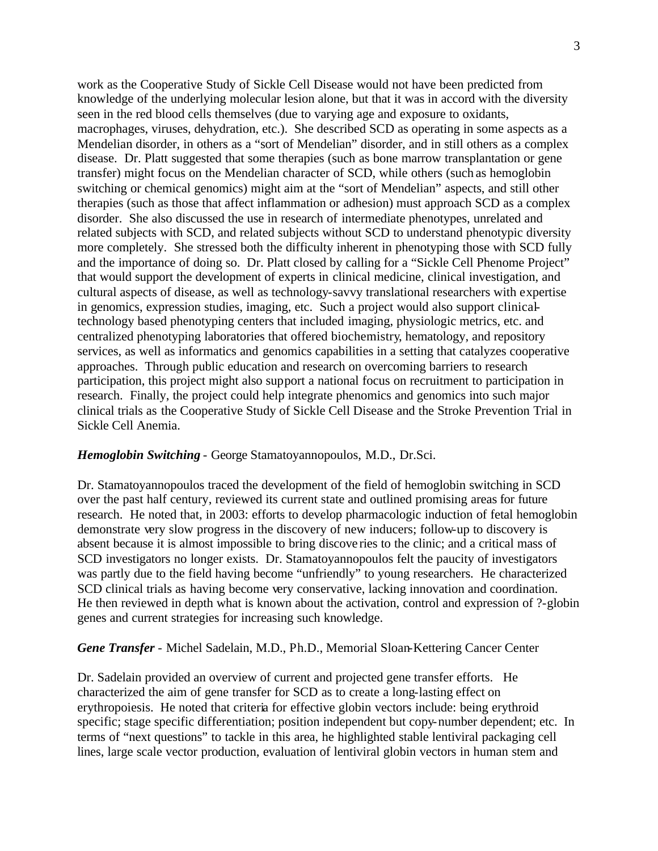work as the Cooperative Study of Sickle Cell Disease would not have been predicted from knowledge of the underlying molecular lesion alone, but that it was in accord with the diversity seen in the red blood cells themselves (due to varying age and exposure to oxidants, macrophages, viruses, dehydration, etc.). She described SCD as operating in some aspects as a Mendelian disorder, in others as a "sort of Mendelian" disorder, and in still others as a complex disease. Dr. Platt suggested that some therapies (such as bone marrow transplantation or gene transfer) might focus on the Mendelian character of SCD, while others (such as hemoglobin switching or chemical genomics) might aim at the "sort of Mendelian" aspects, and still other therapies (such as those that affect inflammation or adhesion) must approach SCD as a complex disorder. She also discussed the use in research of intermediate phenotypes, unrelated and related subjects with SCD, and related subjects without SCD to understand phenotypic diversity more completely. She stressed both the difficulty inherent in phenotyping those with SCD fully and the importance of doing so. Dr. Platt closed by calling for a "Sickle Cell Phenome Project" that would support the development of experts in clinical medicine, clinical investigation, and cultural aspects of disease, as well as technology-savvy translational researchers with expertise in genomics, expression studies, imaging, etc. Such a project would also support clinicaltechnology based phenotyping centers that included imaging, physiologic metrics, etc. and centralized phenotyping laboratories that offered biochemistry, hematology, and repository services, as well as informatics and genomics capabilities in a setting that catalyzes cooperative approaches. Through public education and research on overcoming barriers to research participation, this project might also support a national focus on recruitment to participation in research. Finally, the project could help integrate phenomics and genomics into such major clinical trials as the Cooperative Study of Sickle Cell Disease and the Stroke Prevention Trial in Sickle Cell Anemia.

#### *Hemoglobin Switching* - George Stamatoyannopoulos, M.D., Dr.Sci.

Dr. Stamatoyannopoulos traced the development of the field of hemoglobin switching in SCD over the past half century, reviewed its current state and outlined promising areas for future research. He noted that, in 2003: efforts to develop pharmacologic induction of fetal hemoglobin demonstrate very slow progress in the discovery of new inducers; follow-up to discovery is absent because it is almost impossible to bring discove ries to the clinic; and a critical mass of SCD investigators no longer exists. Dr. Stamatoyannopoulos felt the paucity of investigators was partly due to the field having become "unfriendly" to young researchers. He characterized SCD clinical trials as having become very conservative, lacking innovation and coordination. He then reviewed in depth what is known about the activation, control and expression of ?-globin genes and current strategies for increasing such knowledge.

#### *Gene Transfer* - Michel Sadelain, M.D., Ph.D., Memorial Sloan-Kettering Cancer Center

Dr. Sadelain provided an overview of current and projected gene transfer efforts. He characterized the aim of gene transfer for SCD as to create a long-lasting effect on erythropoiesis. He noted that criteria for effective globin vectors include: being erythroid specific; stage specific differentiation; position independent but copy-number dependent; etc. In terms of "next questions" to tackle in this area, he highlighted stable lentiviral packaging cell lines, large scale vector production, evaluation of lentiviral globin vectors in human stem and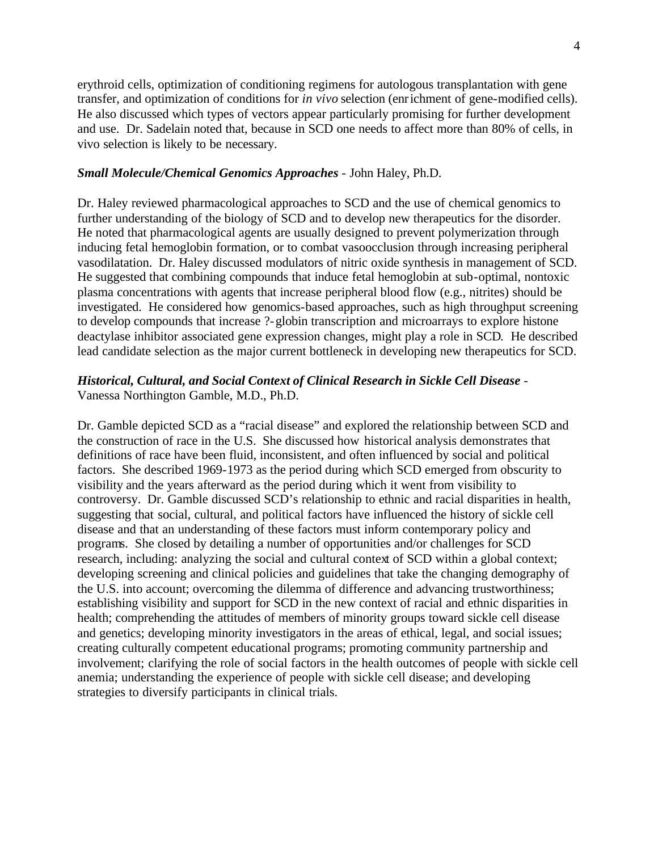transfer, and optimization of conditions for *in vivo* selection (enrichment of gene-modified cells). He also discussed which types of vectors appear particularly promising for further development erythroid cells, optimization of conditioning regimens for autologous transplantation with gene and use. Dr. Sadelain noted that, because in SCD one needs to affect more than 80% of cells, in vivo selection is likely to be necessary.

#### *Small Molecule/Chemical Genomics Approaches* - John Haley, Ph.D.

Dr. Haley reviewed pharmacological approaches to SCD and the use of chemical genomics to further understanding of the biology of SCD and to develop new therapeutics for the disorder. He noted that pharmacological agents are usually designed to prevent polymerization through inducing fetal hemoglobin formation, or to combat vasoocclusion through increasing peripheral vasodilatation. Dr. Haley discussed modulators of nitric oxide synthesis in management of SCD. He suggested that combining compounds that induce fetal hemoglobin at sub-optimal, nontoxic plasma concentrations with agents that increase peripheral blood flow (e.g., nitrites) should be investigated. He considered how genomics-based approaches, such as high throughput screening to develop compounds that increase ?-globin transcription and microarrays to explore histone deactylase inhibitor associated gene expression changes, might play a role in SCD. He described lead candidate selection as the major current bottleneck in developing new therapeutics for SCD.

#### *Historical, Cultural, and Social Context of Clinical Research in Sickle Cell Disease*  Vanessa Northington Gamble, M.D., Ph.D.

strategies to diversify participants in clinical trials. Dr. Gamble depicted SCD as a "racial disease" and explored the relationship between SCD and the construction of race in the U.S. She discussed how historical analysis demonstrates that definitions of race have been fluid, inconsistent, and often influenced by social and political factors. She described 1969-1973 as the period during which SCD emerged from obscurity to visibility and the years afterward as the period during which it went from visibility to controversy. Dr. Gamble discussed SCD's relationship to ethnic and racial disparities in health, suggesting that social, cultural, and political factors have influenced the history of sickle cell disease and that an understanding of these factors must inform contemporary policy and programs. She closed by detailing a number of opportunities and/or challenges for SCD research, including: analyzing the social and cultural context of SCD within a global context; developing screening and clinical policies and guidelines that take the changing demography of the U.S. into account; overcoming the dilemma of difference and advancing trustworthiness; establishing visibility and support for SCD in the new context of racial and ethnic disparities in health; comprehending the attitudes of members of minority groups toward sickle cell disease and genetics; developing minority investigators in the areas of ethical, legal, and social issues; creating culturally competent educational programs; promoting community partnership and involvement; clarifying the role of social factors in the health outcomes of people with sickle cell anemia; understanding the experience of people with sickle cell disease; and developing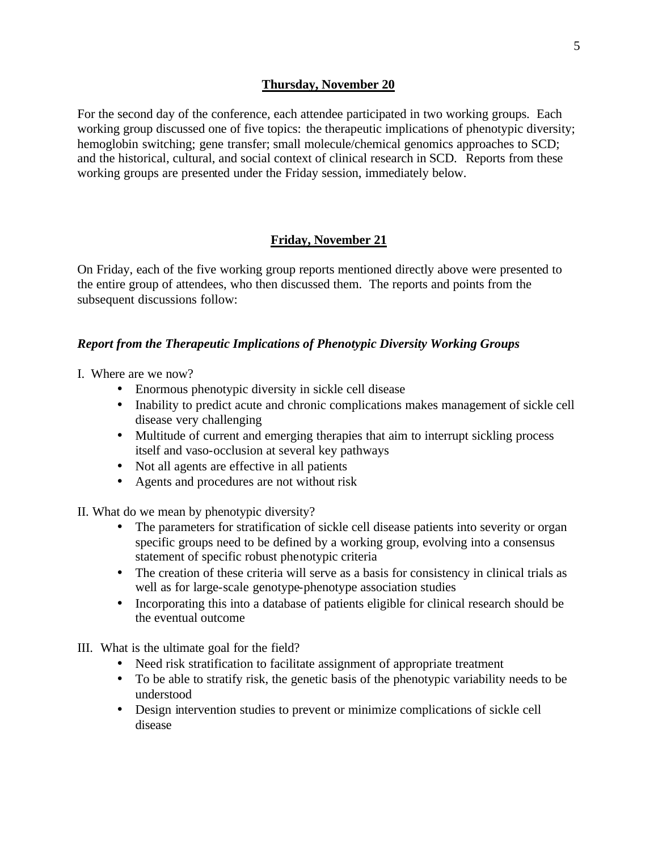### **Thursday, November 20**

and the historical, cultural, and social context of clinical research in SCD. Reports from these For the second day of the conference, each attendee participated in two working groups. Each working group discussed one of five topics: the therapeutic implications of phenotypic diversity; hemoglobin switching; gene transfer; small molecule/chemical genomics approaches to SCD; working groups are presented under the Friday session, immediately below.

## **Friday, November 21**

On Friday, each of the five working group reports mentioned directly above were presented to the entire group of attendees, who then discussed them. The reports and points from the subsequent discussions follow:

### *Report from the Therapeutic Implications of Phenotypic Diversity Working Groups*

- I. Where are we now?
	- Enormous phenotypic diversity in sickle cell disease
	- Inability to predict acute and chronic complications makes management of sickle cell disease very challenging
	- Multitude of current and emerging therapies that aim to interrupt sickling process itself and vaso-occlusion at several key pathways
	- Not all agents are effective in all patients
	- Agents and procedures are not without risk

II. What do we mean by phenotypic diversity?

- The parameters for stratification of sickle cell disease patients into severity or organ specific groups need to be defined by a working group, evolving into a consensus statement of specific robust phenotypic criteria
- The creation of these criteria will serve as a basis for consistency in clinical trials as well as for large-scale genotype-phenotype association studies
- Incorporating this into a database of patients eligible for clinical research should be the eventual outcome

III. What is the ultimate goal for the field?

- Need risk stratification to facilitate assignment of appropriate treatment
- To be able to stratify risk, the genetic basis of the phenotypic variability needs to be understood
- Design intervention studies to prevent or minimize complications of sickle cell disease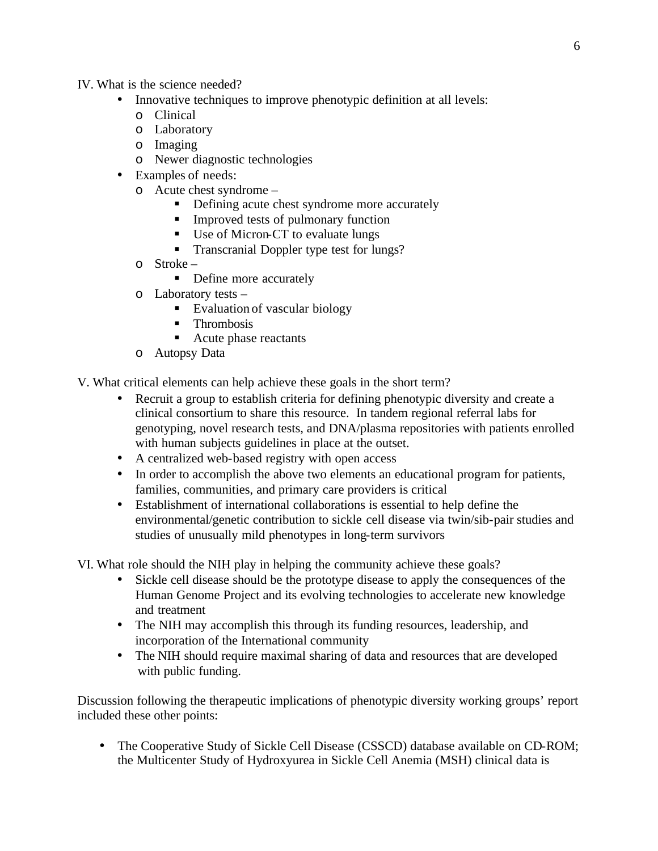- IV. What is the science needed?
	- Innovative techniques to improve phenotypic definition at all levels:
		- o Clinical
		- o Laboratory
		- o Imaging
		- o Newer diagnostic technologies
	- Examples of needs:
		- o Acute chest syndrome
			- Defining acute chest syndrome more accurately
			- **Improved tests of pulmonary function**
			- Use of Micron-CT to evaluate lungs
			- Transcranial Doppler type test for lungs?
		- o Stroke
			- Define more accurately
		- o Laboratory tests
			- Evaluation of vascular biology
			- **Thrombosis**
			- Acute phase reactants
		- o Autopsy Data

V. What critical elements can help achieve these goals in the short term?

- Recruit a group to establish criteria for defining phenotypic diversity and create a clinical consortium to share this resource. In tandem regional referral labs for genotyping, novel research tests, and DNA/plasma repositories with patients enrolled with human subjects guidelines in place at the outset.
- A centralized web-based registry with open access
- In order to accomplish the above two elements an educational program for patients, families, communities, and primary care providers is critical
- Establishment of international collaborations is essential to help define the environmental/genetic contribution to sickle cell disease via twin/sib-pair studies and studies of unusually mild phenotypes in long-term survivors

VI. What role should the NIH play in helping the community achieve these goals?

- Sickle cell disease should be the prototype disease to apply the consequences of the Human Genome Project and its evolving technologies to accelerate new knowledge and treatment
- The NIH may accomplish this through its funding resources, leadership, and incorporation of the International community
- The NIH should require maximal sharing of data and resources that are developed with public funding.

Discussion following the therapeutic implications of phenotypic diversity working groups' report included these other points:

• The Cooperative Study of Sickle Cell Disease (CSSCD) database available on CD-ROM; the Multicenter Study of Hydroxyurea in Sickle Cell Anemia (MSH) clinical data is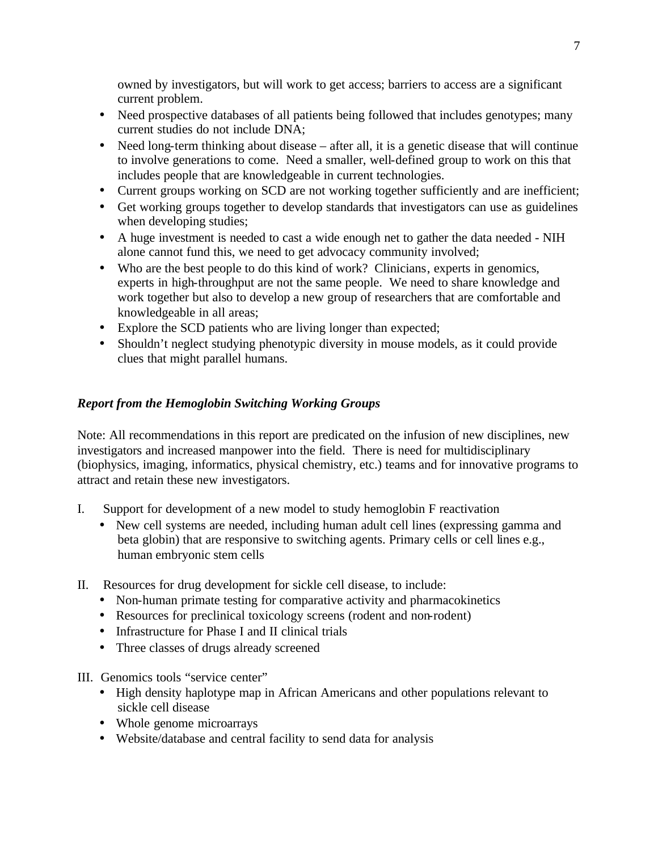owned by investigators, but will work to get access; barriers to access are a significant current problem.

- Need prospective databases of all patients being followed that includes genotypes; many current studies do not include DNA;
- Need long-term thinking about disease after all, it is a genetic disease that will continue to involve generations to come. Need a smaller, well-defined group to work on this that includes people that are knowledgeable in current technologies.
- Current groups working on SCD are not working together sufficiently and are inefficient;
- Get working groups together to develop standards that investigators can use as guidelines when developing studies;
- A huge investment is needed to cast a wide enough net to gather the data needed NIH alone cannot fund this, we need to get advocacy community involved;
- Who are the best people to do this kind of work? Clinicians, experts in genomics, experts in high-throughput are not the same people. We need to share knowledge and work together but also to develop a new group of researchers that are comfortable and knowledgeable in all areas;
- Explore the SCD patients who are living longer than expected;
- Shouldn't neglect studying phenotypic diversity in mouse models, as it could provide clues that might parallel humans.

# *Report from the Hemoglobin Switching Working Groups*

Note: All recommendations in this report are predicated on the infusion of new disciplines, new investigators and increased manpower into the field. There is need for multidisciplinary (biophysics, imaging, informatics, physical chemistry, etc.) teams and for innovative programs to attract and retain these new investigators.

- I. Support for development of a new model to study hemoglobin F reactivation
	- human embryonic stem cells • New cell systems are needed, including human adult cell lines (expressing gamma and beta globin) that are responsive to switching agents. Primary cells or cell lines e.g.,
- II. Resources for drug development for sickle cell disease, to include:
	- Non-human primate testing for comparative activity and pharmacokinetics
	- Resources for preclinical toxicology screens (rodent and non-rodent)
	- Infrastructure for Phase I and II clinical trials
	- Three classes of drugs already screened

III. Genomics tools "service center"

- High density haplotype map in African Americans and other populations relevant to sickle cell disease
- Whole genome microarrays
- • Website/database and central facility to send data for analysis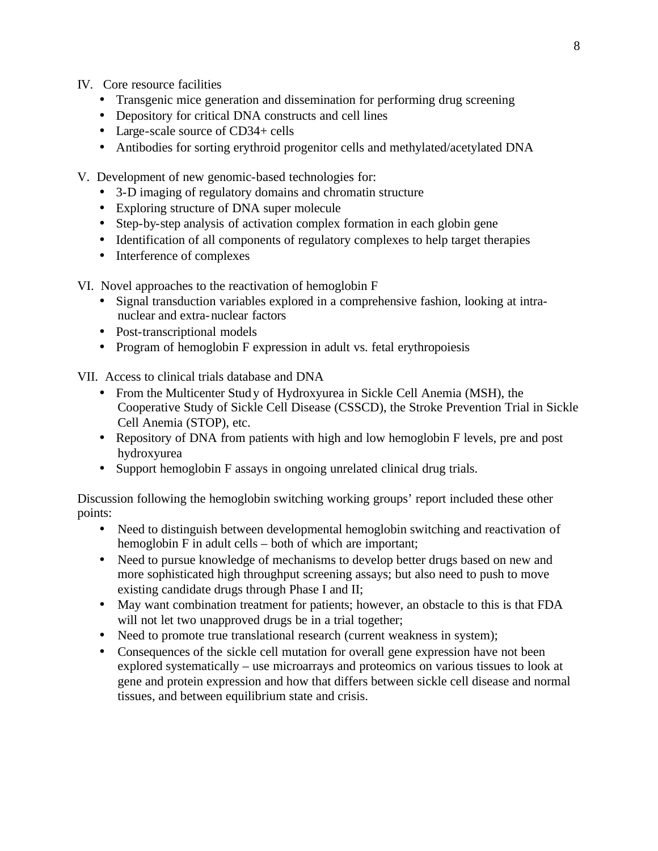- IV. Core resource facilities
	- Transgenic mice generation and dissemination for performing drug screening
	- Depository for critical DNA constructs and cell lines
	- Large-scale source of CD34+ cells
	- Antibodies for sorting erythroid progenitor cells and methylated/acetylated DNA
- V. Development of new genomic-based technologies for:
	- 3-D imaging of regulatory domains and chromatin structure
	- Exploring structure of DNA super molecule
	- Step-by-step analysis of activation complex formation in each globin gene
	- Identification of all components of regulatory complexes to help target therapies
	- Interference of complexes

VI. Novel approaches to the reactivation of hemoglobin F

- Signal transduction variables explored in a comprehensive fashion, looking at intranuclear and extra-nuclear factors
- Post-transcriptional models
- Program of hemoglobin F expression in adult vs. fetal erythropoiesis

VII. Access to clinical trials database and DNA

- From the Multicenter Study of Hydroxyurea in Sickle Cell Anemia (MSH), the Cooperative Study of Sickle Cell Disease (CSSCD), the Stroke Prevention Trial in Sickle Cell Anemia (STOP), etc.
- Repository of DNA from patients with high and low hemoglobin F levels, pre and post hydroxyurea
- Support hemoglobin F assays in ongoing unrelated clinical drug trials.

Discussion following the hemoglobin switching working groups' report included these other points:

- Need to distinguish between developmental hemoglobin switching and reactivation of hemoglobin F in adult cells – both of which are important;
- Need to pursue knowledge of mechanisms to develop better drugs based on new and more sophisticated high throughput screening assays; but also need to push to move existing candidate drugs through Phase I and II;
- May want combination treatment for patients; however, an obstacle to this is that FDA will not let two unapproved drugs be in a trial together;
- Need to promote true translational research (current weakness in system);
- Consequences of the sickle cell mutation for overall gene expression have not been explored systematically – use microarrays and proteomics on various tissues to look at gene and protein expression and how that differs between sickle cell disease and normal tissues, and between equilibrium state and crisis.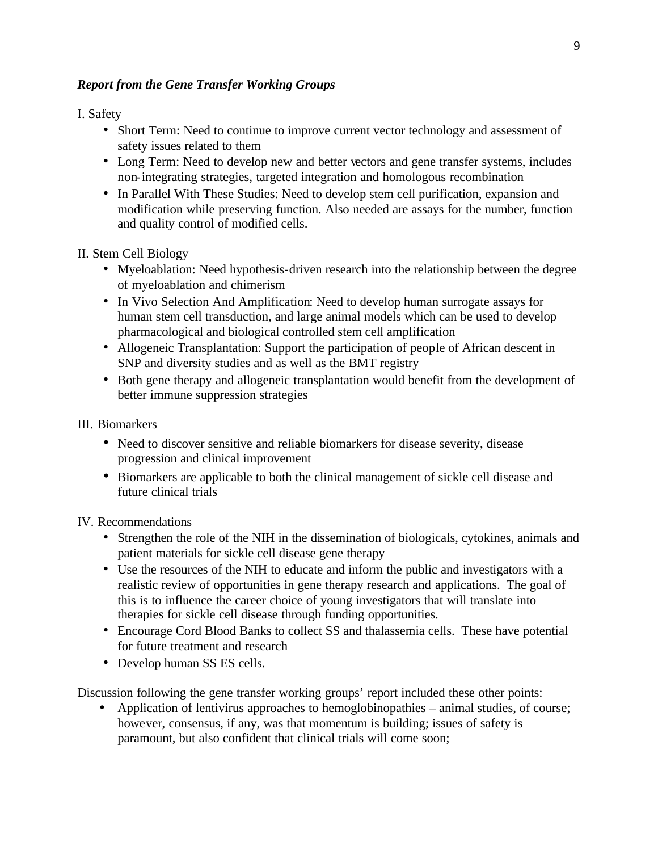# *Report from the Gene Transfer Working Groups*

## I. Safety

- Short Term: Need to continue to improve current vector technology and assessment of safety issues related to them
- Long Term: Need to develop new and better vectors and gene transfer systems, includes non-integrating strategies, targeted integration and homologous recombination
- In Parallel With These Studies: Need to develop stem cell purification, expansion and modification while preserving function. Also needed are assays for the number, function and quality control of modified cells.

# II. Stem Cell Biology

- Myeloablation: Need hypothesis-driven research into the relationship between the degree of myeloablation and chimerism
- In Vivo Selection And Amplification: Need to develop human surrogate assays for human stem cell transduction, and large animal models which can be used to develop pharmacological and biological controlled stem cell amplification
- Allogeneic Transplantation: Support the participation of people of African descent in SNP and diversity studies and as well as the BMT registry
- Both gene therapy and allogeneic transplantation would benefit from the development of better immune suppression strategies

## III. Biomarkers

- Need to discover sensitive and reliable biomarkers for disease severity, disease progression and clinical improvement
- Biomarkers are applicable to both the clinical management of sickle cell disease and future clinical trials

IV. Recommendations

- Strengthen the role of the NIH in the dissemination of biologicals, cytokines, animals and patient materials for sickle cell disease gene therapy
- Use the resources of the NIH to educate and inform the public and investigators with a realistic review of opportunities in gene therapy research and applications. The goal of this is to influence the career choice of young investigators that will translate into therapies for sickle cell disease through funding opportunities.
- Encourage Cord Blood Banks to collect SS and thalassemia cells. These have potential for future treatment and research
- Develop human SS ES cells.

Discussion following the gene transfer working groups' report included these other points:

• Application of lentivirus approaches to hemoglobinopathies – animal studies, of course; however, consensus, if any, was that momentum is building; issues of safety is paramount, but also confident that clinical trials will come soon;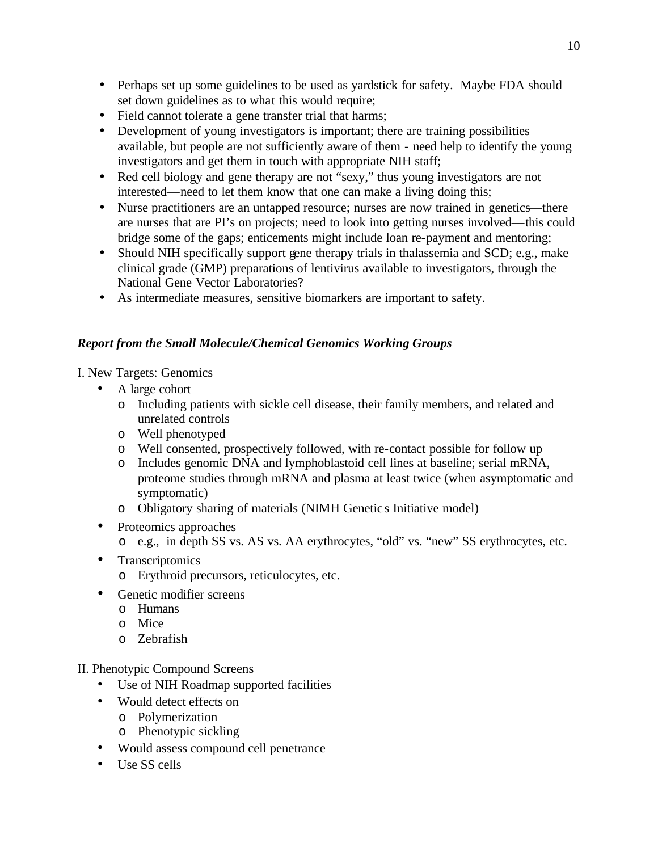- Perhaps set up some guidelines to be used as yardstick for safety. Maybe FDA should set down guidelines as to what this would require;
- • Field cannot tolerate a gene transfer trial that harms;
- Development of young investigators is important; there are training possibilities available, but people are not sufficiently aware of them - need help to identify the young investigators and get them in touch with appropriate NIH staff;
- Red cell biology and gene therapy are not "sexy," thus young investigators are not interested—need to let them know that one can make a living doing this;
- Nurse practitioners are an untapped resource; nurses are now trained in genetics—there are nurses that are PI's on projects; need to look into getting nurses involved—this could bridge some of the gaps; enticements might include loan re-payment and mentoring;
- Should NIH specifically support gene therapy trials in thalassemia and SCD; e.g., make clinical grade (GMP) preparations of lentivirus available to investigators, through the National Gene Vector Laboratories?
- As intermediate measures, sensitive biomarkers are important to safety.

# *Report from the Small Molecule/Chemical Genomics Working Groups*

I. New Targets: Genomics

- A large cohort
	- o Including patients with sickle cell disease, their family members, and related and unrelated controls
	- o Well phenotyped
	- o Well consented, prospectively followed, with re-contact possible for follow up
	- o Includes genomic DNA and lymphoblastoid cell lines at baseline; serial mRNA, proteome studies through mRNA and plasma at least twice (when asymptomatic and symptomatic)
	- o Obligatory sharing of materials (NIMH Genetic s Initiative model)
- Proteomics approaches
	- o e.g., in depth SS vs. AS vs. AA erythrocytes, "old" vs. "new" SS erythrocytes, etc.
- Transcriptomics
	- o Erythroid precursors, reticulocytes, etc.
- Genetic modifier screens
	- o Humans
	- o Mice
	- o Zebrafish

II. Phenotypic Compound Screens

- Use of NIH Roadmap supported facilities
- Would detect effects on
	- o Polymerization
	- o Phenotypic sickling
- Would assess compound cell penetrance
- Use SS cells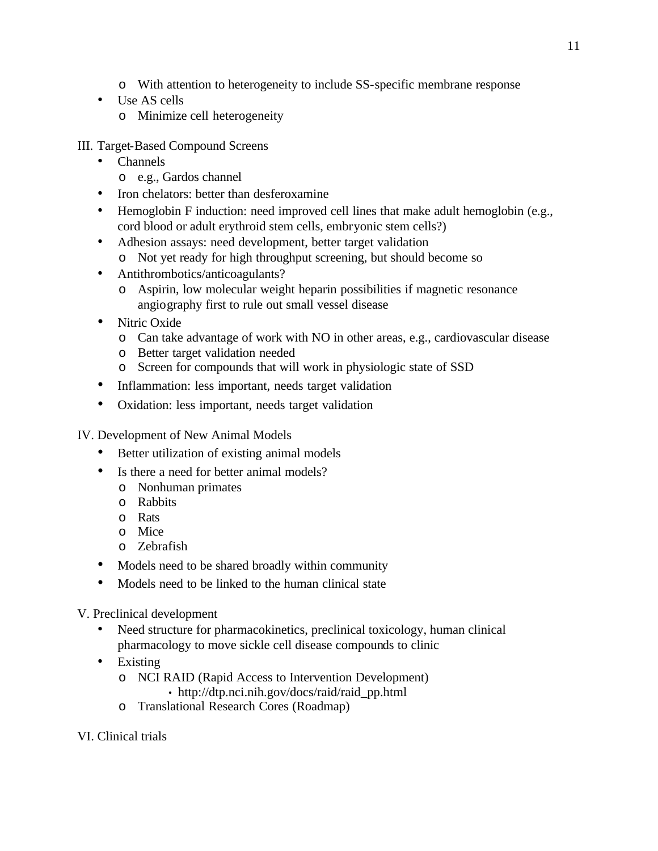- o With attention to heterogeneity to include SS-specific membrane response
- Use AS cells
	- o Minimize cell heterogeneity

III. Target-Based Compound Screens

- • Channels
	- o e.g., Gardos channel
- Iron chelators: better than desferoxamine
- Hemoglobin F induction: need improved cell lines that make adult hemoglobin (e.g., cord blood or adult erythroid stem cells, embryonic stem cells?)
- Adhesion assays: need development, better target validation
	- o Not yet ready for high throughput screening, but should become so
- Antithrombotics/anticoagulants?
	- o Aspirin, low molecular weight heparin possibilities if magnetic resonance angiography first to rule out small vessel disease
- Nitric Oxide
	- $\circ$  Can take advantage of work with NO in other areas, e.g., cardiovascular disease
	- o Better target validation needed
	- o Screen for compounds that will work in physiologic state of SSD
- Inflammation: less important, needs target validation
- Oxidation: less important, needs target validation
- IV. Development of New Animal Models
	- Better utilization of existing animal models
	- Is there a need for better animal models?
		- o Nonhuman primates
		- o Rabbits
		- o Rats
		- o Mice
		- o Zebrafish
	- Models need to be shared broadly within community
	- Models need to be linked to the human clinical state
- V. Preclinical development
	- Need structure for pharmacokinetics, preclinical toxicology, human clinical pharmacology to move sickle cell disease compounds to clinic
	- Existing
		- o NCI RAID (Rapid Access to Intervention Development) • http://dtp.nci.nih.gov/docs/raid/raid\_pp.html
		- o Translational Research Cores (Roadmap)
- VI. Clinical trials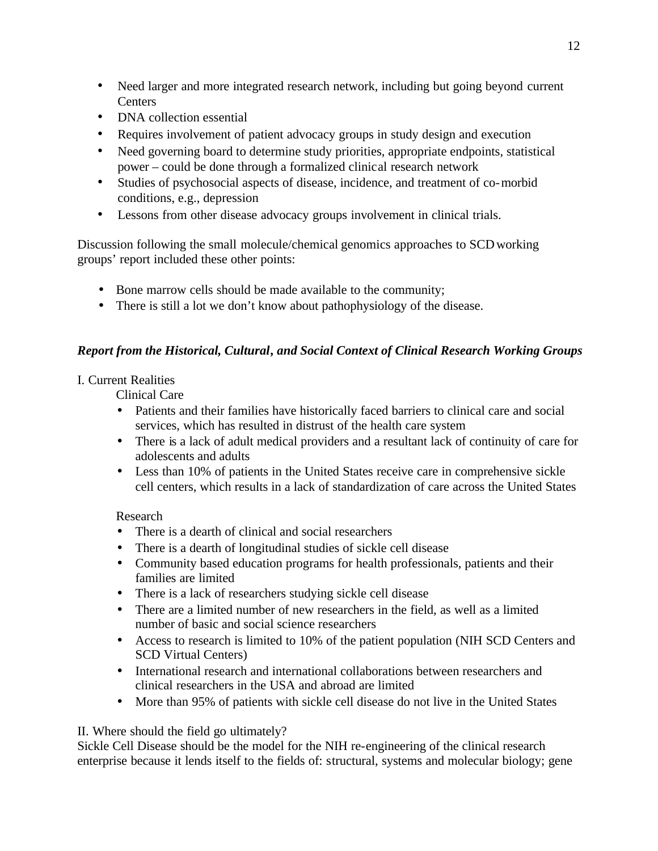- Need larger and more integrated research network, including but going beyond current **Centers**
- DNA collection essential
- Requires involvement of patient advocacy groups in study design and execution
- Need governing board to determine study priorities, appropriate endpoints, statistical power – could be done through a formalized clinical research network
- Studies of psychosocial aspects of disease, incidence, and treatment of co-morbid conditions, e.g., depression
- Lessons from other disease advocacy groups involvement in clinical trials.

Discussion following the small molecule/chemical genomics approaches to SCD working groups' report included these other points:

- Bone marrow cells should be made available to the community;
- There is still a lot we don't know about pathophysiology of the disease.

# *Report from the Historical, Cultural, and Social Context of Clinical Research Working Groups*

## I. Current Realities

Clinical Care

- Patients and their families have historically faced barriers to clinical care and social services, which has resulted in distrust of the health care system
- There is a lack of adult medical providers and a resultant lack of continuity of care for adolescents and adults
- Less than 10% of patients in the United States receive care in comprehensive sickle cell centers, which results in a lack of standardization of care across the United States

## Research

- There is a dearth of clinical and social researchers
- There is a dearth of longitudinal studies of sickle cell disease
- Community based education programs for health professionals, patients and their families are limited
- There is a lack of researchers studying sickle cell disease
- There are a limited number of new researchers in the field, as well as a limited number of basic and social science researchers
- Access to research is limited to 10% of the patient population (NIH SCD Centers and SCD Virtual Centers)
- International research and international collaborations between researchers and clinical researchers in the USA and abroad are limited
- More than 95% of patients with sickle cell disease do not live in the United States

## II. Where should the field go ultimately?

Sickle Cell Disease should be the model for the NIH re-engineering of the clinical research enterprise because it lends itself to the fields of: structural, systems and molecular biology; gene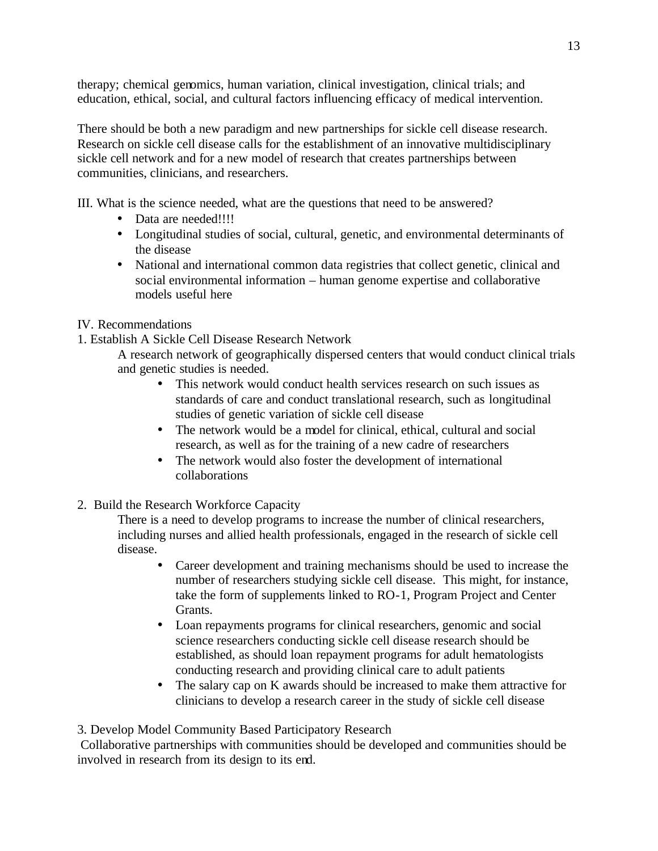therapy; chemical genomics, human variation, clinical investigation, clinical trials; and education, ethical, social, and cultural factors influencing efficacy of medical intervention.

There should be both a new paradigm and new partnerships for sickle cell disease research. Research on sickle cell disease calls for the establishment of an innovative multidisciplinary sickle cell network and for a new model of research that creates partnerships between communities, clinicians, and researchers.

III. What is the science needed, what are the questions that need to be answered?

- Data are needed!!!!
- Longitudinal studies of social, cultural, genetic, and environmental determinants of the disease
- National and international common data registries that collect genetic, clinical and social environmental information – human genome expertise and collaborative models useful here

## IV. Recommendations

1. Establish A Sickle Cell Disease Research Network

A research network of geographically dispersed centers that would conduct clinical trials and genetic studies is needed.

- This network would conduct health services research on such issues as standards of care and conduct translational research, such as longitudinal studies of genetic variation of sickle cell disease
- The network would be a model for clinical, ethical, cultural and social research, as well as for the training of a new cadre of researchers
- The network would also foster the development of international collaborations
- 2. Build the Research Workforce Capacity

There is a need to develop programs to increase the number of clinical researchers, including nurses and allied health professionals, engaged in the research of sickle cell disease.

- Career development and training mechanisms should be used to increase the number of researchers studying sickle cell disease. This might, for instance, take the form of supplements linked to RO-1, Program Project and Center Grants.
- Loan repayments programs for clinical researchers, genomic and social science researchers conducting sickle cell disease research should be established, as should loan repayment programs for adult hematologists conducting research and providing clinical care to adult patients
- The salary cap on K awards should be increased to make them attractive for clinicians to develop a research career in the study of sickle cell disease

3. Develop Model Community Based Participatory Research

Collaborative partnerships with communities should be developed and communities should be involved in research from its design to its end.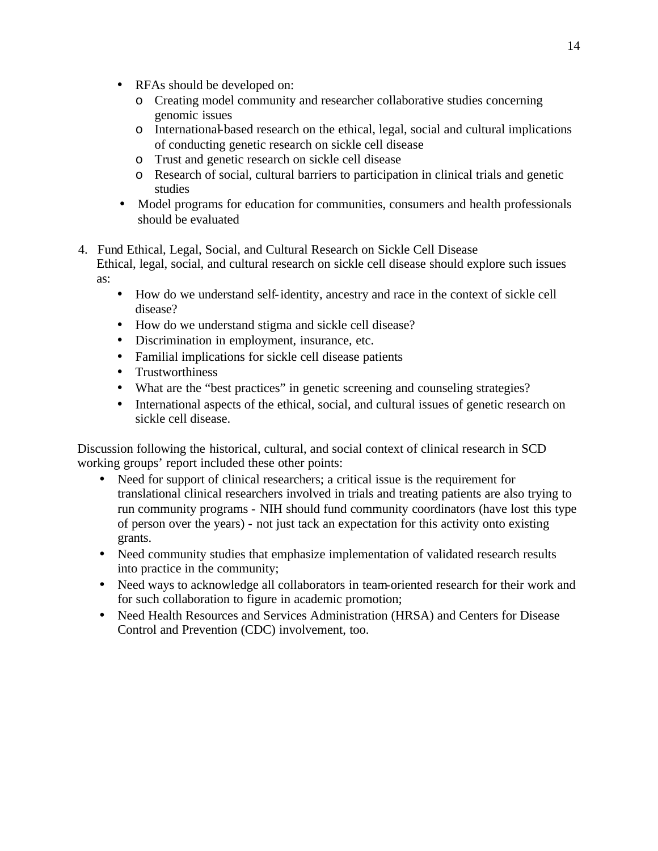- RFAs should be developed on:
	- o Creating model community and researcher collaborative studies concerning genomic issues
	- o International-based research on the ethical, legal, social and cultural implications of conducting genetic research on sickle cell disease
	- o Trust and genetic research on sickle cell disease
	- o Research of social, cultural barriers to participation in clinical trials and genetic studies
- Model programs for education for communities, consumers and health professionals should be evaluated
- 4. Fund Ethical, Legal, Social, and Cultural Research on Sickle Cell Disease Ethical, legal, social, and cultural research on sickle cell disease should explore such issues
	- How do we understand self-identity, ancestry and race in the context of sickle cell disease?
	- How do we understand stigma and sickle cell disease?
	- Discrimination in employment, insurance, etc.
	- Familial implications for sickle cell disease patients
	- Trustworthiness

as:

- What are the "best practices" in genetic screening and counseling strategies?
- International aspects of the ethical, social, and cultural issues of genetic research on sickle cell disease.

Discussion following the historical, cultural, and social context of clinical research in SCD working groups' report included these other points:

- Need for support of clinical researchers; a critical issue is the requirement for translational clinical researchers involved in trials and treating patients are also trying to run community programs - NIH should fund community coordinators (have lost this type of person over the years) - not just tack an expectation for this activity onto existing grants.
- Need community studies that emphasize implementation of validated research results into practice in the community;
- Need ways to acknowledge all collaborators in team-oriented research for their work and for such collaboration to figure in academic promotion;
- Need Health Resources and Services Administration (HRSA) and Centers for Disease Control and Prevention (CDC) involvement, too.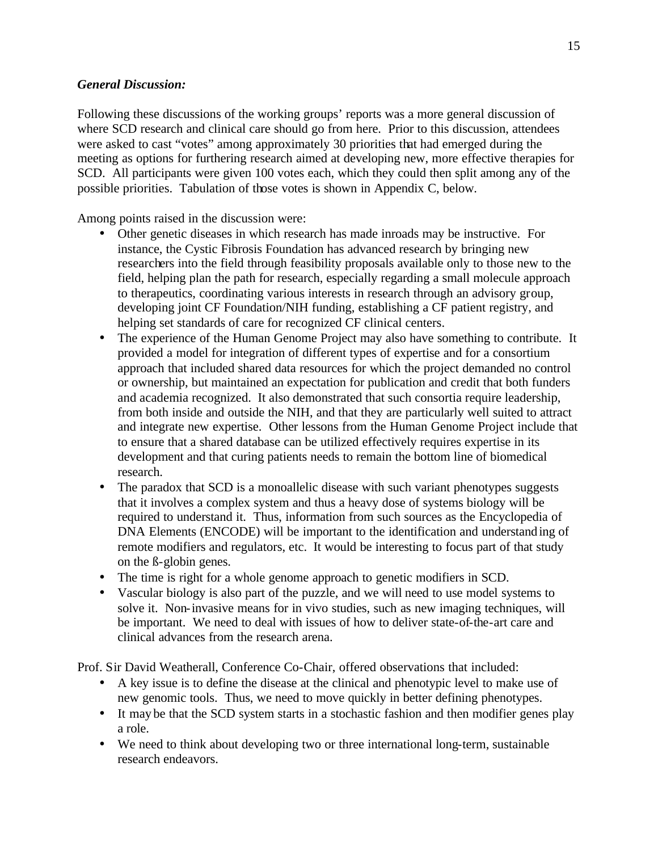#### *General Discussion:*

Following these discussions of the working groups' reports was a more general discussion of where SCD research and clinical care should go from here. Prior to this discussion, attendees were asked to cast "votes" among approximately 30 priorities that had emerged during the meeting as options for furthering research aimed at developing new, more effective therapies for SCD. All participants were given 100 votes each, which they could then split among any of the possible priorities. Tabulation of those votes is shown in Appendix C, below.

Among points raised in the discussion were:

- Other genetic diseases in which research has made inroads may be instructive. For instance, the Cystic Fibrosis Foundation has advanced research by bringing new researchers into the field through feasibility proposals available only to those new to the field, helping plan the path for research, especially regarding a small molecule approach to therapeutics, coordinating various interests in research through an advisory group, developing joint CF Foundation/NIH funding, establishing a CF patient registry, and helping set standards of care for recognized CF clinical centers.
- The experience of the Human Genome Project may also have something to contribute. It provided a model for integration of different types of expertise and for a consortium approach that included shared data resources for which the project demanded no control or ownership, but maintained an expectation for publication and credit that both funders and academia recognized. It also demonstrated that such consortia require leadership, from both inside and outside the NIH, and that they are particularly well suited to attract and integrate new expertise. Other lessons from the Human Genome Project include that to ensure that a shared database can be utilized effectively requires expertise in its development and that curing patients needs to remain the bottom line of biomedical research.
- remote modifiers and regulators, etc. It would be interesting to focus part of that study • The paradox that SCD is a monoallelic disease with such variant phenotypes suggests that it involves a complex system and thus a heavy dose of systems biology will be required to understand it. Thus, information from such sources as the Encyclopedia of DNA Elements (ENCODE) will be important to the identification and understanding of on the ß-globin genes.
- The time is right for a whole genome approach to genetic modifiers in SCD.
- Vascular biology is also part of the puzzle, and we will need to use model systems to solve it. Non-invasive means for in vivo studies, such as new imaging techniques, will be important. We need to deal with issues of how to deliver state-of-the-art care and clinical advances from the research arena.

Prof. Sir David Weatherall, Conference Co-Chair, offered observations that included:

- A key issue is to define the disease at the clinical and phenotypic level to make use of new genomic tools. Thus, we need to move quickly in better defining phenotypes.
- It may be that the SCD system starts in a stochastic fashion and then modifier genes play a role.
- We need to think about developing two or three international long-term, sustainable research endeavors.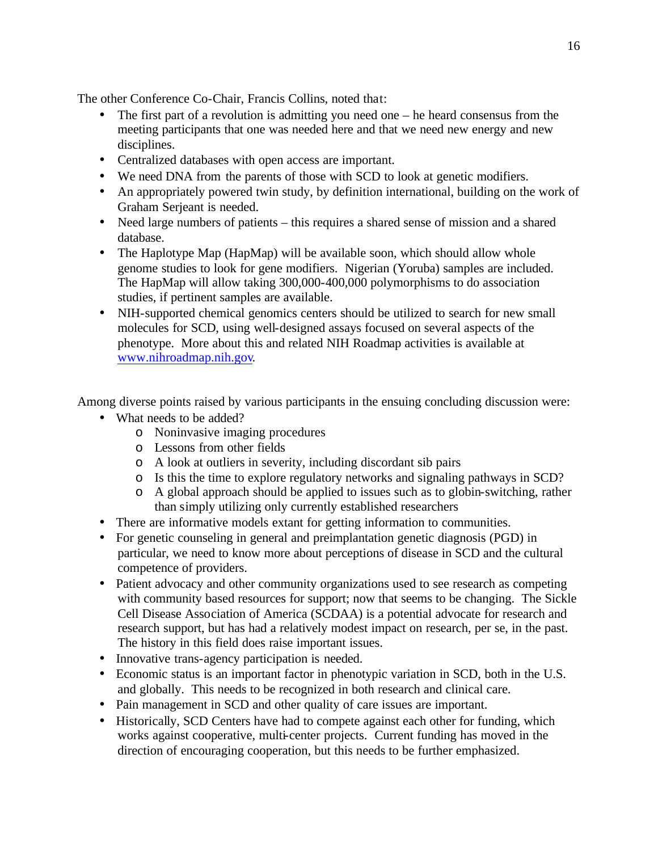The other Conference Co-Chair, Francis Collins, noted that:

- The first part of a revolution is admitting you need one  $-$  he heard consensus from the meeting participants that one was needed here and that we need new energy and new disciplines.
- Centralized databases with open access are important.
- We need DNA from the parents of those with SCD to look at genetic modifiers.
- An appropriately powered twin study, by definition international, building on the work of Graham Serjeant is needed.
- Need large numbers of patients this requires a shared sense of mission and a shared database.
- The Haplotype Map (HapMap) will be available soon, which should allow whole genome studies to look for gene modifiers. Nigerian (Yoruba) samples are included. The HapMap will allow taking 300,000-400,000 polymorphisms to do association studies, if pertinent samples are available.
- NIH-supported chemical genomics centers should be utilized to search for new small molecules for SCD, using well-designed assays focused on several aspects of the phenotype. More about this and related NIH Roadmap activities is available at www.nihroadmap.nih.gov.

Among diverse points raised by various participants in the ensuing concluding discussion were:

- What needs to be added?
	- o Noninvasive imaging procedures
	- o Lessons from other fields
	- o A look at outliers in severity, including discordant sib pairs
	- o Is this the time to explore regulatory networks and signaling pathways in SCD?
	- o A global approach should be applied to issues such as to globin-switching, rather than simply utilizing only currently established researchers
- There are informative models extant for getting information to communities.
- For genetic counseling in general and preimplantation genetic diagnosis (PGD) in particular, we need to know more about perceptions of disease in SCD and the cultural competence of providers.
- Patient advocacy and other community organizations used to see research as competing with community based resources for support; now that seems to be changing. The Sickle Cell Disease Association of America (SCDAA) is a potential advocate for research and research support, but has had a relatively modest impact on research, per se, in the past. The history in this field does raise important issues.
- Innovative trans-agency participation is needed.
- Economic status is an important factor in phenotypic variation in SCD, both in the U.S. and globally. This needs to be recognized in both research and clinical care.
- Pain management in SCD and other quality of care issues are important.
- Historically, SCD Centers have had to compete against each other for funding, which works against cooperative, multi-center projects. Current funding has moved in the direction of encouraging cooperation, but this needs to be further emphasized.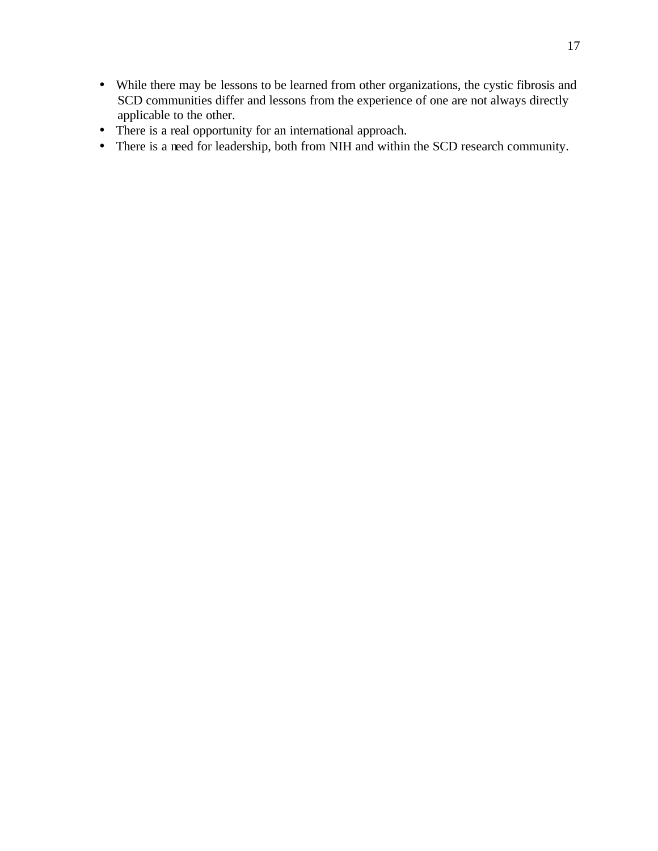- While there may be lessons to be learned from other organizations, the cystic fibrosis and SCD communities differ and lessons from the experience of one are not always directly applicable to the other.
- There is a real opportunity for an international approach.
- There is a need for leadership, both from NIH and within the SCD research community.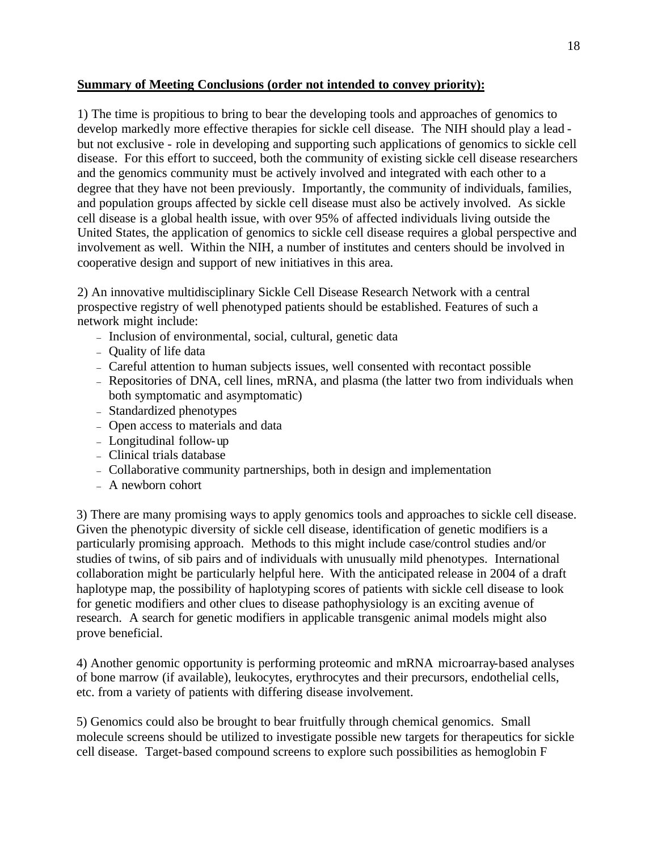#### **Summary of Meeting Conclusions (order not intended to convey priority):**

1) The time is propitious to bring to bear the developing tools and approaches of genomics to develop markedly more effective therapies for sickle cell disease. The NIH should play a lead but not exclusive - role in developing and supporting such applications of genomics to sickle cell disease. For this effort to succeed, both the community of existing sickle cell disease researchers and the genomics community must be actively involved and integrated with each other to a degree that they have not been previously. Importantly, the community of individuals, families, and population groups affected by sickle cell disease must also be actively involved. As sickle cell disease is a global health issue, with over 95% of affected individuals living outside the United States, the application of genomics to sickle cell disease requires a global perspective and involvement as well. Within the NIH, a number of institutes and centers should be involved in cooperative design and support of new initiatives in this area.

2) An innovative multidisciplinary Sickle Cell Disease Research Network with a central prospective registry of well phenotyped patients should be established. Features of such a network might include:

- Inclusion of environmental, social, cultural, genetic data
- Ouality of life data
- Careful attention to human subjects issues, well consented with recontact possible
- Repositories of DNA, cell lines, mRNA, and plasma (the latter two from individuals when both symptomatic and asymptomatic)
- Standardized phenotypes
- Open access to materials and data
- Longitudinal follow-up
- Clinical trials database
- Collaborative community partnerships, both in design and implementation
- A newborn cohort

3) There are many promising ways to apply genomics tools and approaches to sickle cell disease. Given the phenotypic diversity of sickle cell disease, identification of genetic modifiers is a particularly promising approach. Methods to this might include case/control studies and/or studies of twins, of sib pairs and of individuals with unusually mild phenotypes. International collaboration might be particularly helpful here. With the anticipated release in 2004 of a draft haplotype map, the possibility of haplotyping scores of patients with sickle cell disease to look for genetic modifiers and other clues to disease pathophysiology is an exciting avenue of research. A search for genetic modifiers in applicable transgenic animal models might also prove beneficial.

4) Another genomic opportunity is performing proteomic and mRNA microarray-based analyses of bone marrow (if available), leukocytes, erythrocytes and their precursors, endothelial cells, etc. from a variety of patients with differing disease involvement.

5) Genomics could also be brought to bear fruitfully through chemical genomics. Small molecule screens should be utilized to investigate possible new targets for therapeutics for sickle cell disease. Target-based compound screens to explore such possibilities as hemoglobin F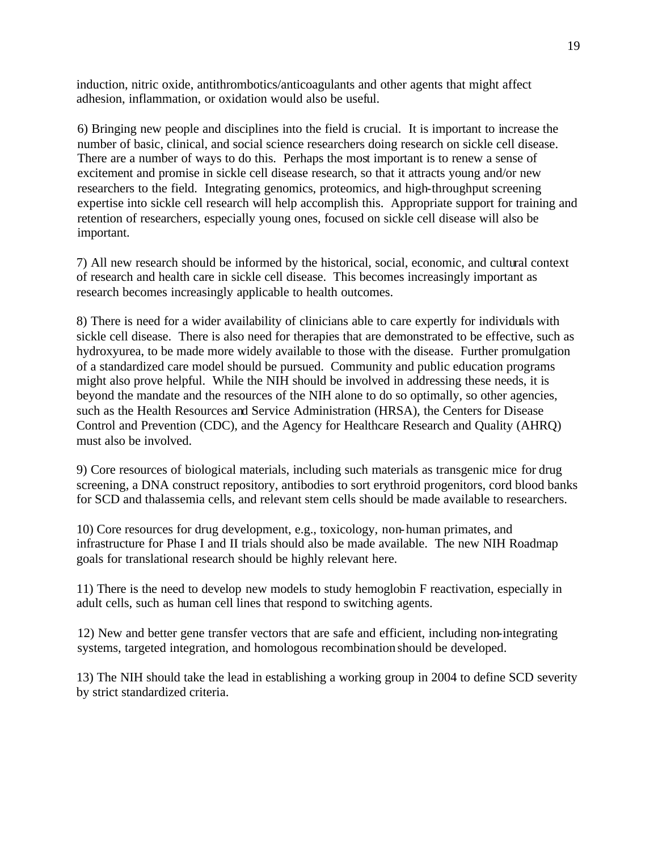induction, nitric oxide, antithrombotics/anticoagulants and other agents that might affect adhesion, inflammation, or oxidation would also be useful.

6) Bringing new people and disciplines into the field is crucial. It is important to increase the number of basic, clinical, and social science researchers doing research on sickle cell disease. There are a number of ways to do this. Perhaps the most important is to renew a sense of excitement and promise in sickle cell disease research, so that it attracts young and/or new researchers to the field. Integrating genomics, proteomics, and high-throughput screening expertise into sickle cell research will help accomplish this. Appropriate support for training and retention of researchers, especially young ones, focused on sickle cell disease will also be important.

7) All new research should be informed by the historical, social, economic, and cultural context of research and health care in sickle cell disease. This becomes increasingly important as research becomes increasingly applicable to health outcomes.

8) There is need for a wider availability of clinicians able to care expertly for individuals with sickle cell disease. There is also need for therapies that are demonstrated to be effective, such as hydroxyurea, to be made more widely available to those with the disease. Further promulgation of a standardized care model should be pursued. Community and public education programs might also prove helpful. While the NIH should be involved in addressing these needs, it is beyond the mandate and the resources of the NIH alone to do so optimally, so other agencies, such as the Health Resources and Service Administration (HRSA), the Centers for Disease Control and Prevention (CDC), and the Agency for Healthcare Research and Quality (AHRQ) must also be involved.

9) Core resources of biological materials, including such materials as transgenic mice for drug screening, a DNA construct repository, antibodies to sort erythroid progenitors, cord blood banks for SCD and thalassemia cells, and relevant stem cells should be made available to researchers.

10) Core resources for drug development, e.g., toxicology, non-human primates, and infrastructure for Phase I and II trials should also be made available. The new NIH Roadmap goals for translational research should be highly relevant here.

11) There is the need to develop new models to study hemoglobin F reactivation, especially in adult cells, such as human cell lines that respond to switching agents.

12) New and better gene transfer vectors that are safe and efficient, including non-integrating systems, targeted integration, and homologous recombination should be developed.

13) The NIH should take the lead in establishing a working group in 2004 to define SCD severity by strict standardized criteria.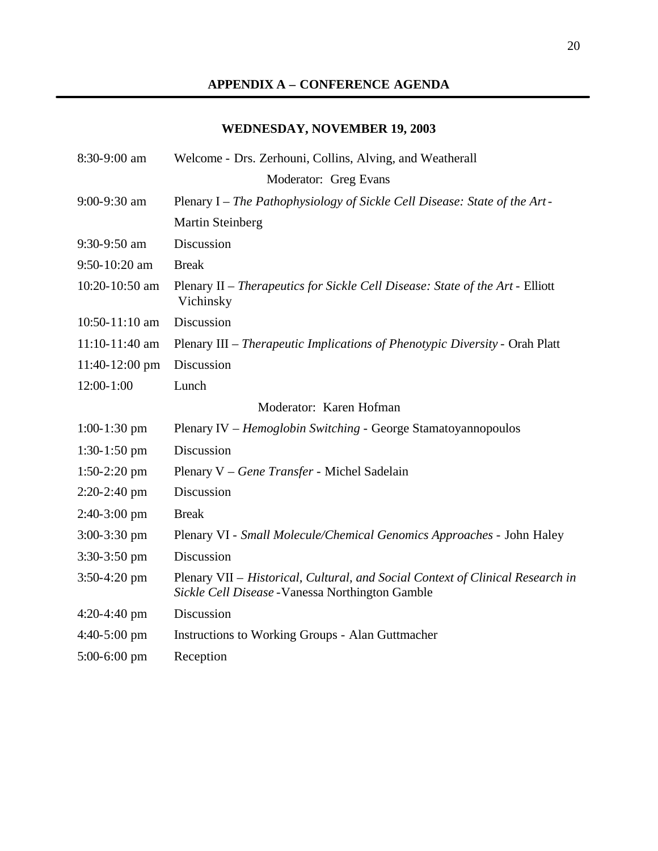# **APPENDIX A – CONFERENCE AGENDA**

# **WEDNESDAY, NOVEMBER 19, 2003**

| 8:30-9:00 am      | Welcome - Drs. Zerhouni, Collins, Alving, and Weatherall                                                                           |
|-------------------|------------------------------------------------------------------------------------------------------------------------------------|
|                   | Moderator: Greg Evans                                                                                                              |
| 9:00-9:30 am      | Plenary I – The Pathophysiology of Sickle Cell Disease: State of the Art-                                                          |
|                   | <b>Martin Steinberg</b>                                                                                                            |
| 9:30-9:50 am      | Discussion                                                                                                                         |
| $9:50 - 10:20$ am | <b>Break</b>                                                                                                                       |
| 10:20-10:50 am    | Plenary II – Therapeutics for Sickle Cell Disease: State of the Art - Elliott<br>Vichinsky                                         |
| 10:50-11:10 am    | Discussion                                                                                                                         |
| 11:10-11:40 am    | Plenary III – Therapeutic Implications of Phenotypic Diversity - Orah Platt                                                        |
| 11:40-12:00 pm    | Discussion                                                                                                                         |
| $12:00-1:00$      | Lunch                                                                                                                              |
|                   | Moderator: Karen Hofman                                                                                                            |
| $1:00-1:30$ pm    | Plenary IV – Hemoglobin Switching - George Stamatoyannopoulos                                                                      |
| $1:30-1:50$ pm    | Discussion                                                                                                                         |
| $1:50-2:20$ pm    | Plenary V - Gene Transfer - Michel Sadelain                                                                                        |
| $2:20-2:40$ pm    | Discussion                                                                                                                         |
| $2:40-3:00$ pm    | <b>Break</b>                                                                                                                       |
| $3:00-3:30$ pm    | Plenary VI - Small Molecule/Chemical Genomics Approaches - John Haley                                                              |
| $3:30-3:50$ pm    | Discussion                                                                                                                         |
| $3:50-4:20$ pm    | Plenary VII - Historical, Cultural, and Social Context of Clinical Research in<br>Sickle Cell Disease - Vanessa Northington Gamble |
| $4:20-4:40$ pm    | Discussion                                                                                                                         |
| $4:40-5:00$ pm    | Instructions to Working Groups - Alan Guttmacher                                                                                   |
| $5:00-6:00$ pm    | Reception                                                                                                                          |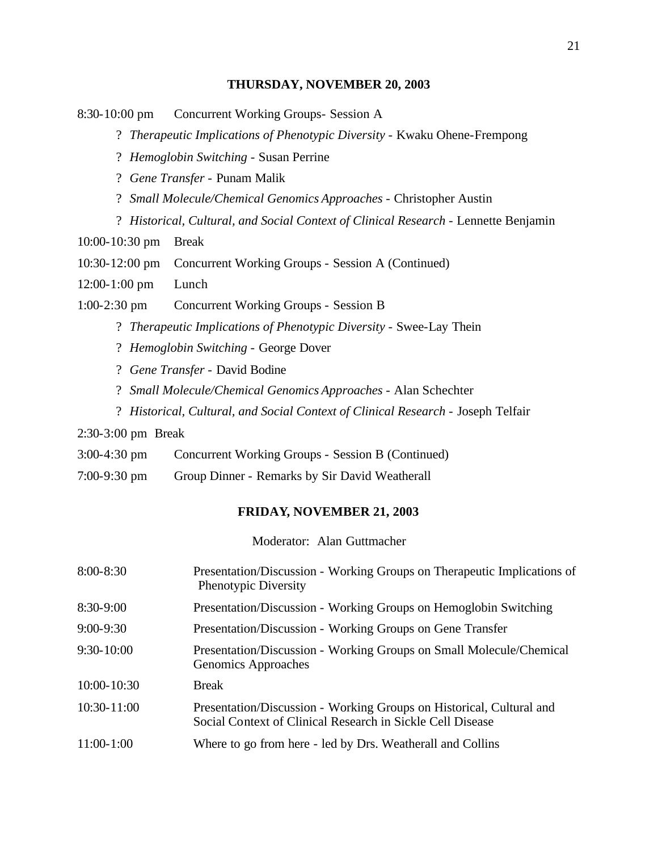#### **THURSDAY, NOVEMBER 20, 2003**

8:30-10:00 pm Concurrent Working Groups- Session A

? *Therapeutic Implications of Phenotypic Diversity* - Kwaku Ohene-Frempong

? *Hemoglobin Switching* - Susan Perrine

? *Gene Transfer* - Punam Malik

? *Small Molecule/Chemical Genomics Approaches* - Christopher Austin

? Historical, Cultural, and Social Context of Clinical Research - Lennette Benjamin

10:00-10:30 pm Break

10:30-12:00 pm Concurrent Working Groups - Session A (Continued)

12:00-1:00 pm Lunch

1:00-2:30 pm Concurrent Working Groups - Session B

? *Therapeutic Implications of Phenotypic Diversity* - Swee-Lay Thein

- ? *Hemoglobin Switching*  George Dover
- ? *Gene Transfer*  David Bodine
- ? *Small Molecule/Chemical Genomics Approaches*  Alan Schechter
- ? *Historical, Cultural, and Social Context of Clinical Research*  Joseph Telfair

#### 2:30-3:00 pm Break

- 3:00-4:30 pm Concurrent Working Groups Session B (Continued)
- 7:00-9:30 pm Group Dinner Remarks by Sir David Weatherall

#### **FRIDAY, NOVEMBER 21, 2003**

Moderator: Alan Guttmacher

| $8:00 - 8:30$   | Presentation/Discussion - Working Groups on Therapeutic Implications of<br>Phenotypic Diversity                                    |
|-----------------|------------------------------------------------------------------------------------------------------------------------------------|
| $8:30-9:00$     | Presentation/Discussion - Working Groups on Hemoglobin Switching                                                                   |
| $9:00 - 9:30$   | Presentation/Discussion - Working Groups on Gene Transfer                                                                          |
| $9:30 - 10:00$  | Presentation/Discussion - Working Groups on Small Molecule/Chemical<br>Genomics Approaches                                         |
| 10:00-10:30     | <b>Break</b>                                                                                                                       |
| $10:30 - 11:00$ | Presentation/Discussion - Working Groups on Historical, Cultural and<br>Social Context of Clinical Research in Sickle Cell Disease |
| $11:00-1:00$    | Where to go from here - led by Drs. Weatherall and Collins                                                                         |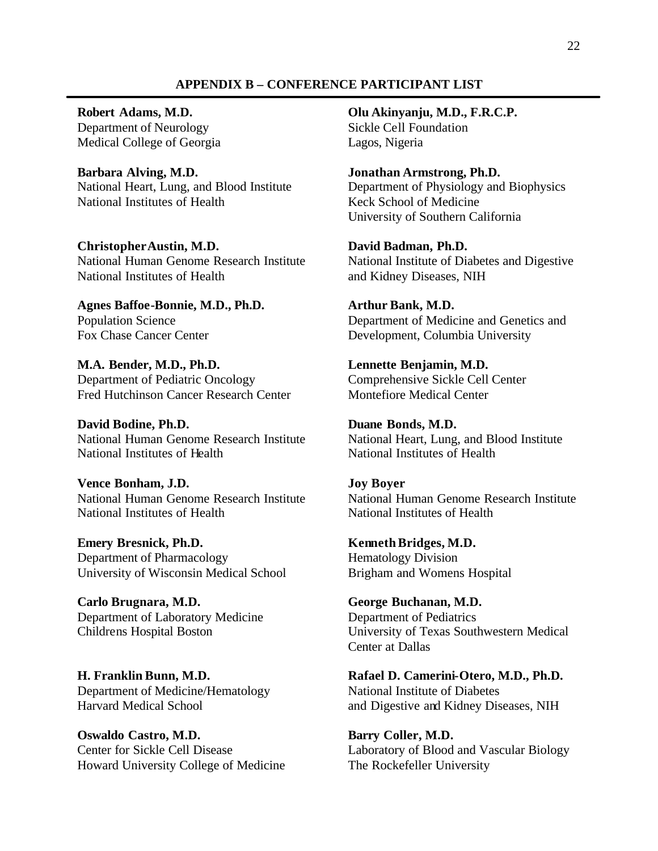#### **APPENDIX B – CONFERENCE PARTICIPANT LIST**

Department of Neurology Sickle Cell Foundation Medical College of Georgia Lagos, Nigeria

National Heart, Lung, and Blood Institute **Barbara Alving, M.D. Jonathan Armstrong, Ph.D.**  National Institutes of Health Keck School of Medicine

National Human Genome Research Institute National Institute of Diabetes and Digestive National Institutes of Health **ChristopherAustin, M.D. David Badman, Ph.D.** 

**Agnes Baffoe-Bonnie, M.D., Ph.D. Arthur Bank, M.D.** 

 Department of Pediatric Oncology Comprehensive Sickle Cell Center **M.A. Bender, M.D., Ph.D. Lennette Benjamin, M.D.**  Fred Hutchinson Cancer Research Center Montefiore Medical Center

National Human Genome Research Institute David Bodine, Ph.D. **Duane Bonds, M.D.** National Institutes of Health National Institutes of Health

 **Vence Bonham, J.D. Joy Boyer**  National Human Genome Research Institute National Institutes of Health

Emery Bresnick, Ph.D. **Kenneth Bridges, M.D.** Department of Pharmacology **Hematology** Division University of Wisconsin Medical School Brigham and Womens Hospital

**Carlo Brugnara, M.D. George Buchanan, M.D.**  Department of Laboratory Medicine Department of Pediatrics

Department of Medicine/Hematology National Institute of Diabetes

**Oswaldo Castro, M.D. Barry Coller, M.D.** Howard University College of Medicine The Rockefeller University

**Robert Adams, M.D. Olu Akinyanju, M.D., F.R.C.P.** 

Department of Physiology and Biophysics University of Southern California

and Kidney Diseases, NIH

Population Science Department of Medicine and Genetics and Fox Chase Cancer Center Development, Columbia University

National Heart, Lung, and Blood Institute

National Human Genome Research Institute National Institutes of Health

Childrens Hospital Boston University of Texas Southwestern Medical Center at Dallas

**H. Franklin Bunn, M.D. Rafael D. Camerini-Otero, M.D., Ph.D.**  Harvard Medical School and Digestive and Kidney Diseases, NIH

Center for Sickle Cell Disease Laboratory of Blood and Vascular Biology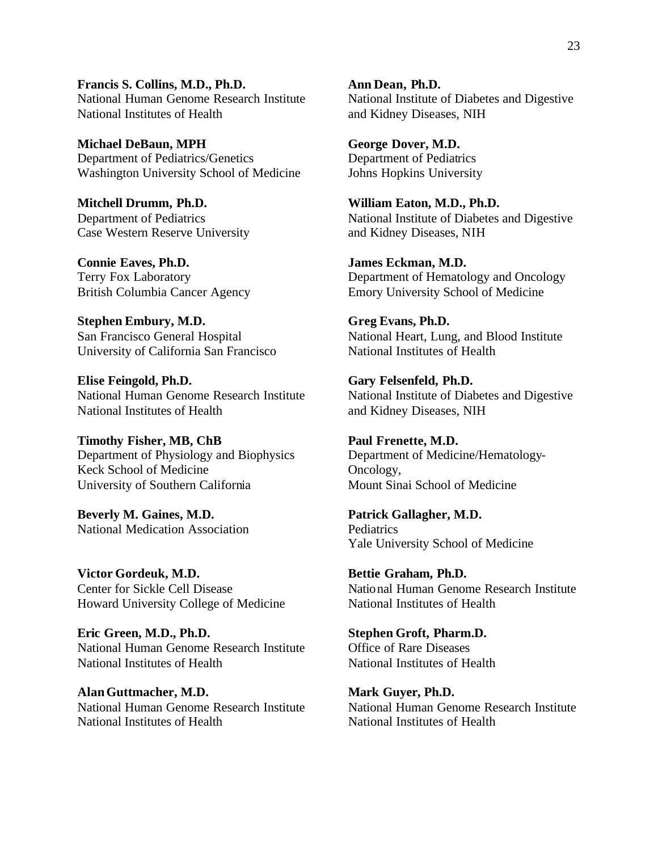National Human Genome Research Institute Francis S. Collins, M.D., Ph.D. **Ann Dean, Ph.D.** National Institutes of Health and Kidney Diseases, NIH

**Michael DeBaun, MPH George Dover, M.D.**  Department of Pediatrics/Genetics Department of Pediatrics Washington University School of Medicine Johns Hopkins University

**Mitchell Drumm, Ph.D.** Department of Pediatrics Case Western Reserve University and Kidney Diseases, NIH

Terry Fox Laboratory **British Columbia Cancer Agency Connie Eaves, Ph.D. James Eckman, M.D.** 

San Francisco General Hospital **Stephen Embury, M.D. Greg Evans, Ph.D.**  University of California San Francisco

**Elise Feingold, Ph.D. Gary Felsenfeld, Ph.D.**  National Human Genome Research Institute National Institute of Diabetes and Digestive National Institutes of Health and Kidney Diseases, NIH

University of Southern California Timothy Fisher, MB, ChB Paul Frenette, M.D. Department of Physiology and Biophysics Department of Medicine/Hematology-Keck School of Medicine Oncology,

**Beverly M. Gaines, M.D. Patrick Gallagher, M.D.** National Medication Association **Pediatrics** 

Victor Gordeuk, M.D. **Bettie Graham, Ph.D.** Howard University College of Medicine National Institutes of Health

**Eric Green, M.D., Ph.D. Stephen Groft, Pharm.D.**  National Human Genome Research Institute Office of Rare Diseases National Institutes of Health National Institutes of Health

Alan Guttmacher, M.D. Mark Guyer, Ph.D. National Human Genome Research Institute National Human Genome Research Institute National Institutes of Health National Institutes of Health

National Institute of Diabetes and Digestive

**William Eaton, M.D., Ph.D.** National Institute of Diabetes and Digestive

Department of Hematology and Oncology Emory University School of Medicine

National Heart, Lung, and Blood Institute<br>National Institutes of Health

Mount Sinai School of Medicine

Yale University School of Medicine

Center for Sickle Cell Disease National Human Genome Research Institute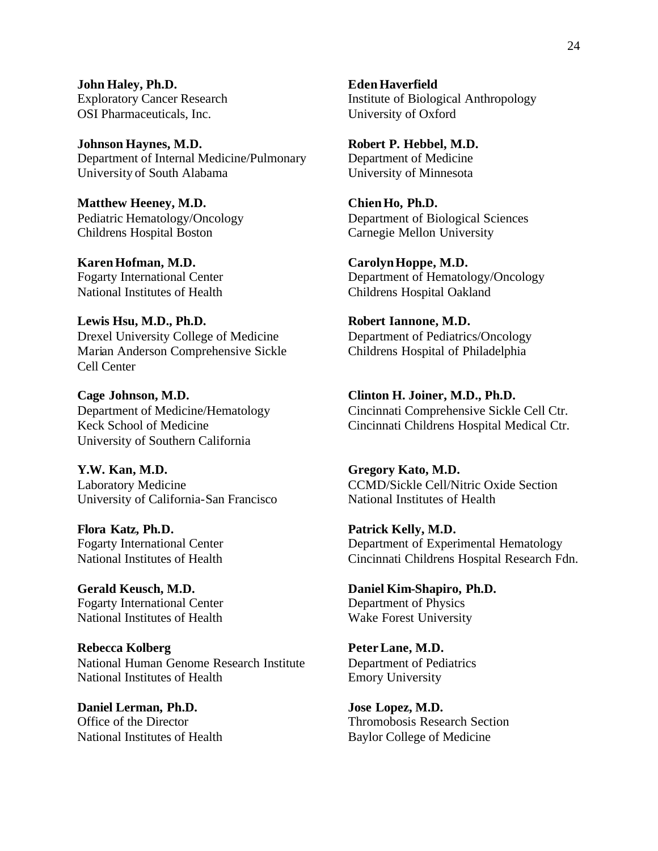**John Haley, Ph.D. Eden Haverfield**  OSI Pharmaceuticals, Inc. University of Oxford

**Johnson Haynes, M.D.** Robert P. Hebbel, M.D. Department of Internal Medicine/Pulmonary Department of Medicine University of South Alabama University of Minnesota

**Matthew Heeney, M.D. Chien Ho, Ph.D.**  Childrens Hospital Boston Carnegie Mellon University

**Karen Hofman, M.D. Carolyn Hoppe, M.D.**  National Institutes of Health Childrens Hospital Oakland

Lewis Hsu, M.D., Ph.D. **Robert Iannone, M.D.** Drexel University College of Medicine Department of Pediatrics/Oncology Marian Anderson Comprehensive Sickle Childrens Hospital of Philadelphia Cell Center

**Cage Johnson, M.D. Clinton H. Joiner, M.D., Ph.D.**  University of Southern California

**Y.W. Kan, M.D. Laboratory Medicine** University of California-San Francisco National Institutes of Health

**Flora Katz, Ph.D. Patrick Kelly, M.D.** 

**Gerald Keusch, M.D.** Fogarty International Center Department of Physics National Institutes of Health Wake Forest University

Rebecca Kolberg **Peter Lane, M.D.** National Human Genome Research Institute Department of Pediatrics National Institutes of Health Emory University

**Daniel Lerman, Ph.D. Jose Lopez, M.D.**  National Institutes of Health Baylor College of Medicine

Exploratory Cancer Research Institute of Biological Anthropology

Pediatric Hematology/Oncology Department of Biological Sciences

Fogarty International Center Department of Hematology/Oncology

Department of Medicine/Hematology Cincinnati Comprehensive Sickle Cell Ctr. Keck School of Medicine Cincinnati Childrens Hospital Medical Ctr.

> **Y.W. Kan, M.D. Gregory Kato, M.D.**  CCMD/Sickle Cell/Nitric Oxide Section

Fogarty International Center Department of Experimental Hematology National Institutes of Health Cincinnati Childrens Hospital Research Fdn.

**Daniel Kim-Shapiro, Ph.D.** 

Office of the Director Thromobosis Research Section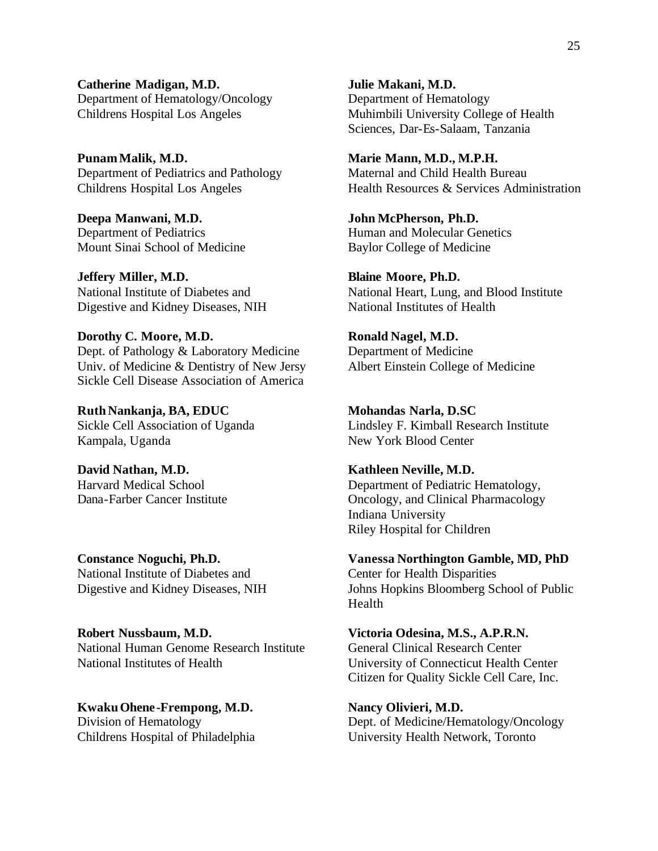**Catherine Madigan, M.D. Julie Makani, M.D.**  Department of Hematology/Oncology Department of Hematology

Punam Malik, M.D. **Marie Mann, M.D., M.P.H. Marie Mann, M.D., M.P.H.** Department of Pediatrics and Pathology Maternal and Child Health Bureau

**Department of Pediatrics Deepa Manwani, M.D. John McPherson, Ph.D.**  Mount Sinai School of Medicine Baylor College of Medicine

Digestive and Kidney Diseases, NIH National Institutes of Health **Jeffery Miller, M.D. Blaine Moore, Ph.D.** 

**Dorothy C. Moore, M.D. Ronald Nagel, M.D. Dept.** of Pathology & Laboratory Medicine **Department of Medicine** Dept. of Pathology & Laboratory Medicine Univ. of Medicine & Dentistry of New Jersy Albert Einstein College of Medicine Sickle Cell Disease Association of America

Kampala, Uganda Ruth Nankanja, BA, EDUC Mohandas Narla, D.SC

David Nathan, M.D. **Harvard Medical School** Dana-Farber Cancer Institute

National Institute of Diabetes and Center for Health Disparities

**Robert Nussbaum, M.D. Victoria Odesina, M.S., A.P.R.N.**  National Human Genome Research Institute General Clinical Research Center National Institutes of Health University of Connecticut Health Center

**Kwaku Ohene-Frempong, M.D.** Nancy Olivieri, M.D.

Childrens Hospital Los Angeles Muhimbili University College of Health Sciences, Dar-Es-Salaam, Tanzania

Childrens Hospital Los Angeles Health Resources & Services Administration

Human and Molecular Genetics

National Institute of Diabetes and National Heart, Lung, and Blood Institute

Sickle Cell Association of Uganda Lindsley F. Kimball Research Institute New York Blood Center

> **David Nathan, M.D. Kathleen Neville, M.D.**  Department of Pediatric Hematology, Oncology, and Clinical Pharmacology Indiana University Riley Hospital for Children

**Constance Noguchi, Ph.D. Vanessa Northington Gamble, MD, PhD**  Digestive and Kidney Diseases, NIH Johns Hopkins Bloomberg School of Public Health

Citizen for Quality Sickle Cell Care, Inc.

Division of Hematology Dept. of Medicine/Hematology/Oncology Childrens Hospital of Philadelphia University Health Network, Toronto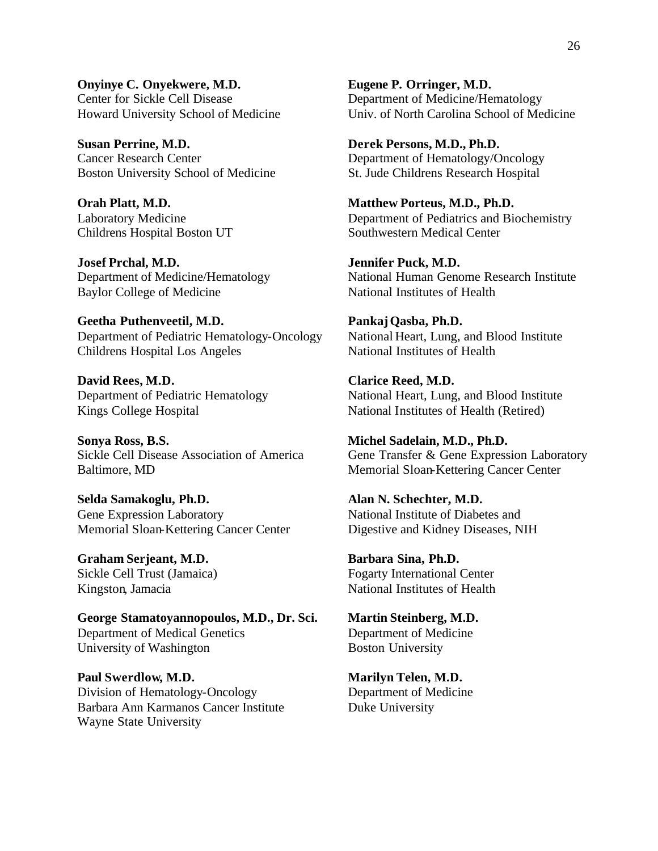**Onyinye C. Onyekwere, M.D. Eugene P. Orringer, M.D.**  Center for Sickle Cell Disease Department of Medicine/Hematology

**Susan Perrine, M.D.** Cancer Research Center Department of Hematology/Oncology Boston University School of Medicine St. Jude Childrens Research Hospital

**Josef Prchal, M.D. Jennifer Puck, M.D.**  Baylor College of Medicine National Institutes of Health

Geetha Puthenveetil, M.D. **Pankaj Qasba, Ph.D.** Department of Pediatric Hematology-Oncology National Heart, Lung, and Blood Institute Childrens Hospital Los Angeles National Institutes of Health

David Rees, M.D. Department of Pediatric Hematology Kings College Hospital

Sonya Ross, B.S. Sickle Cell Disease Association of America Baltimore, MD Memorial Sloan-Kettering Cancer Center

**Selda Samakoglu, Ph.D. Alan N. Schechter, M.D.**  Gene Expression Laboratory National Institute of Diabetes and Memorial Sloan-Kettering Cancer Center Digestive and Kidney Diseases, NIH

Kingston, Jamacia **Graham Serjeant, M.D. Barbara Sina, Ph.D.** 

George Stamatoyannopoulos, M.D., Dr. Sci. Martin Steinberg, M.D. Department of Medical Genetics Department of Medicine University of Washington Boston University

Paul Swerdlow, M.D. Marilyn Telen, M.D. Division of Hematology-Oncology Department of Medicine Barbara Ann Karmanos Cancer Institute Duke University Wayne State University

Howard University School of Medicine Univ. of North Carolina School of Medicine

Derek Persons, M.D., Ph.D.

**Orah Platt, M.D. Compact 20 Matthew Porteus, M.D., Ph.D.** Laboratory Medicine Department of Pediatrics and Biochemistry Childrens Hospital Boston UT Southwestern Medical Center

Department of Medicine/Hematology National Human Genome Research Institute

**Clarice Reed, M.D.** National Heart, Lung, and Blood Institute National Institutes of Health (Retired)

**Sonya Ross, B.S. Michel Sadelain, M.D., Ph.D.**  Gene Transfer & Gene Expression Laboratory

Sickle Cell Trust (Jamaica) Fogarty International Center National Institutes of Health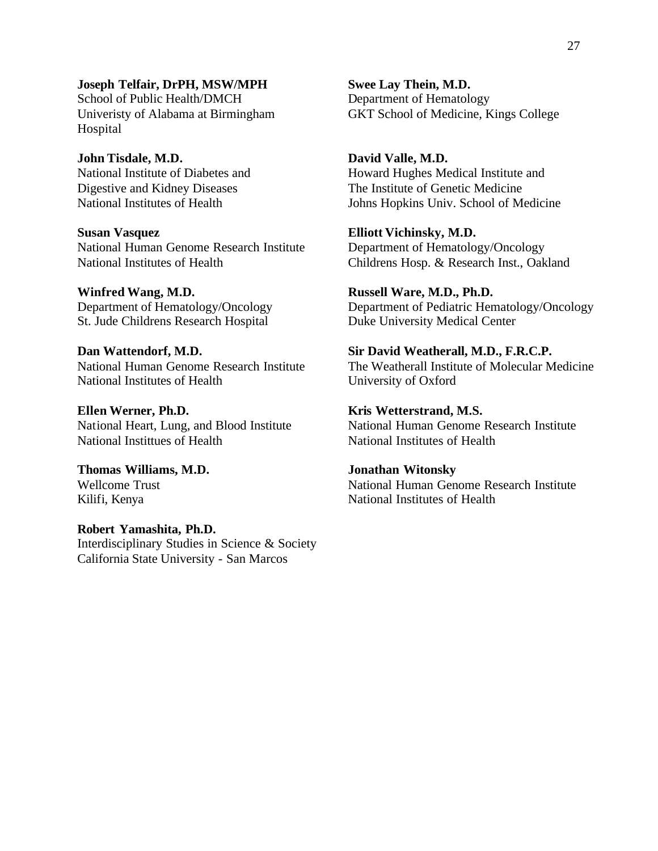**Joseph Telfair, DrPH, MSW/MPH Swee Lay Thein, M.D.**  School of Public Health/DMCH Department of Hematology Hospital

**John Tisdale, M.D. David Valle, M.D.** 

**Susan Vasquez** National Human Genome Research Institute Department of Hematology/Oncology National Institutes of Health Childrens Hosp. & Research Inst., Oakland

Winfred Wang, M.D. **Russell Ware, M.D., Ph.D.** St. Jude Childrens Research Hospital Duke University Medical Center

Dan Wattendorf, M.D. National Institutes of Health University of Oxford

Ellen Werner, Ph.D. **Kris Wetterstrand, M.S. Kris Wetterstrand, M.S.** National Institutes of Health National Institutes of Health

Kilifi, Kenya **Thomas Williams, M.D. Jonathan Witonsky** 

**Robert Yamashita, Ph.D.**  Interdisciplinary Studies in Science & Society California State University - San Marcos

Univeristy of Alabama at Birmingham GKT School of Medicine, Kings College

National Institute of Diabetes and Howard Hughes Medical Institute and Digestive and Kidney Diseases The Institute of Genetic Medicine National Institutes of Health Johns Hopkins Univ. School of Medicine

**Elliott Vichinsky, M.D.** 

Department of Hematology/Oncology Department of Pediatric Hematology/Oncology

**Sir David Weatherall, M.D., F.R.C.P.** National Human Genome Research Institute The Weatherall Institute of Molecular Medicine

National Heart, Lung, and Blood Institute National Human Genome Research Institute

Wellcome Trust National Human Genome Research Institute National Institutes of Health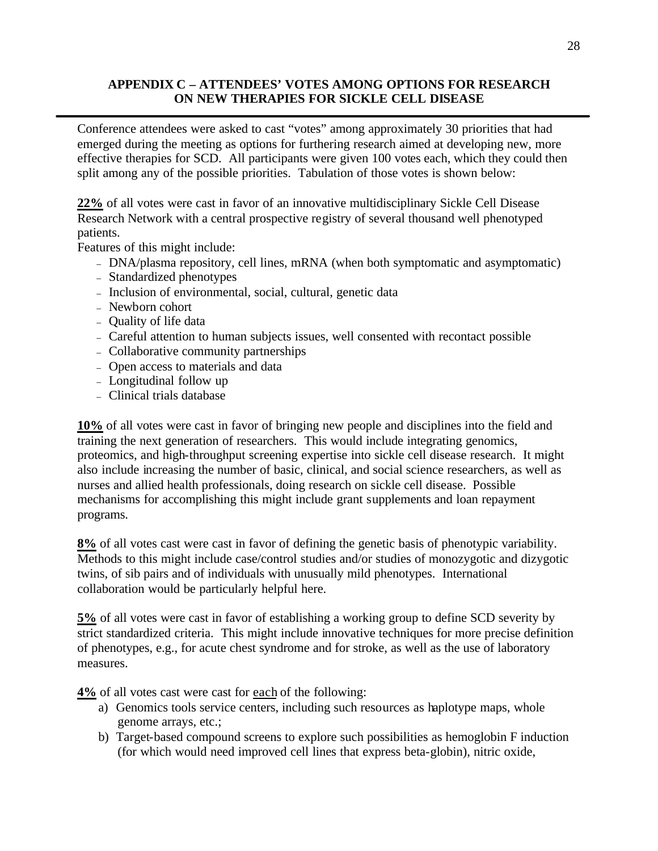### **APPENDIX C – ATTENDEES' VOTES AMONG OPTIONS FOR RESEARCH ON NEW THERAPIES FOR SICKLE CELL DISEASE**

Conference attendees were asked to cast "votes" among approximately 30 priorities that had emerged during the meeting as options for furthering research aimed at developing new, more effective therapies for SCD. All participants were given 100 votes each, which they could then split among any of the possible priorities. Tabulation of those votes is shown below:

**22%** of all votes were cast in favor of an innovative multidisciplinary Sickle Cell Disease Research Network with a central prospective registry of several thousand well phenotyped patients.

Features of this might include:

- DNA/plasma repository, cell lines, mRNA (when both symptomatic and asymptomatic)
- Standardized phenotypes
- Inclusion of environmental, social, cultural, genetic data
- Newborn cohort
- Quality of life data
- Careful attention to human subjects issues, well consented with recontact possible
- Collaborative community partnerships
- Open access to materials and data
- Longitudinal follow up
- Clinical trials database

**10%** of all votes were cast in favor of bringing new people and disciplines into the field and training the next generation of researchers. This would include integrating genomics, proteomics, and high-throughput screening expertise into sickle cell disease research. It might also include increasing the number of basic, clinical, and social science researchers, as well as nurses and allied health professionals, doing research on sickle cell disease. Possible mechanisms for accomplishing this might include grant supplements and loan repayment programs.

**8%** of all votes cast were cast in favor of defining the genetic basis of phenotypic variability. Methods to this might include case/control studies and/or studies of monozygotic and dizygotic twins, of sib pairs and of individuals with unusually mild phenotypes. International collaboration would be particularly helpful here.

**5%** of all votes were cast in favor of establishing a working group to define SCD severity by strict standardized criteria. This might include innovative techniques for more precise definition of phenotypes, e.g., for acute chest syndrome and for stroke, as well as the use of laboratory measures.

**4%** of all votes cast were cast for each of the following:

- a) Genomics tools service centers, including such resources as haplotype maps, whole genome arrays, etc.;
- b) Target-based compound screens to explore such possibilities as hemoglobin F induction (for which would need improved cell lines that express beta-globin), nitric oxide,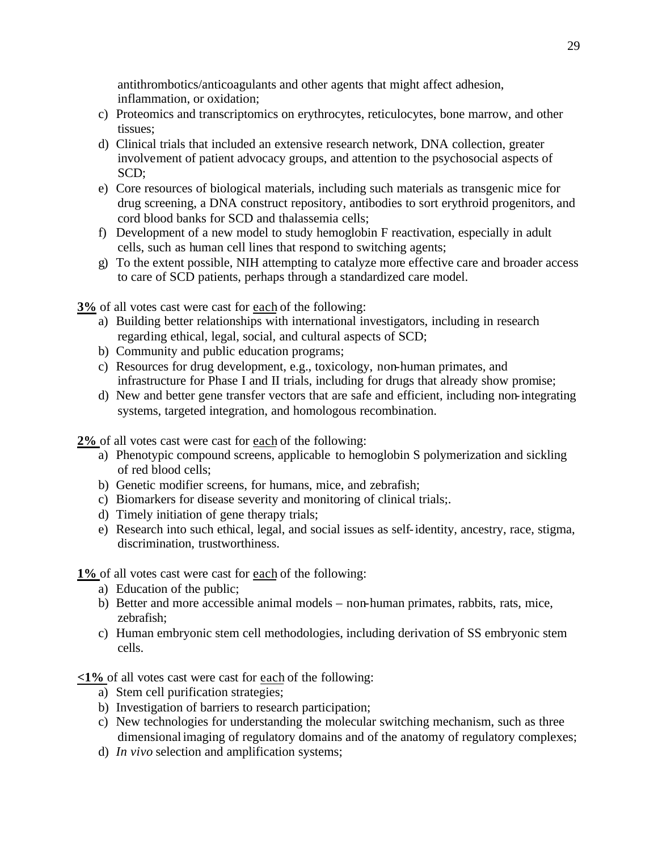antithrombotics/anticoagulants and other agents that might affect adhesion, inflammation, or oxidation;

- c) Proteomics and transcriptomics on erythrocytes, reticulocytes, bone marrow, and other tissues;
- d) Clinical trials that included an extensive research network, DNA collection, greater involvement of patient advocacy groups, and attention to the psychosocial aspects of SCD;
- e) Core resources of biological materials, including such materials as transgenic mice for drug screening, a DNA construct repository, antibodies to sort erythroid progenitors, and cord blood banks for SCD and thalassemia cells;
- f) Development of a new model to study hemoglobin F reactivation, especially in adult cells, such as human cell lines that respond to switching agents;
- g) To the extent possible, NIH attempting to catalyze more effective care and broader access to care of SCD patients, perhaps through a standardized care model.

**3%** of all votes cast were cast for each of the following:

- a) Building better relationships with international investigators, including in research regarding ethical, legal, social, and cultural aspects of SCD;
- b) Community and public education programs;
- c) Resources for drug development, e.g., toxicology, non-human primates, and infrastructure for Phase I and II trials, including for drugs that already show promise;
- d) New and better gene transfer vectors that are safe and efficient, including non-integrating systems, targeted integration, and homologous recombination.

**2%** of all votes cast were cast for each of the following:

- a) Phenotypic compound screens, applicable to hemoglobin S polymerization and sickling of red blood cells;
- b) Genetic modifier screens, for humans, mice, and zebrafish;
- c) Biomarkers for disease severity and monitoring of clinical trials;.
- d) Timely initiation of gene therapy trials;
- e) Research into such ethical, legal, and social issues as self-identity, ancestry, race, stigma, discrimination, trustworthiness.

**1%** of all votes cast were cast for each of the following:

- a) Education of the public;
- b) Better and more accessible animal models non-human primates, rabbits, rats, mice, zebrafish;
- c) Human embryonic stem cell methodologies, including derivation of SS embryonic stem cells.

**<1%** of all votes cast were cast for each of the following:

- a) Stem cell purification strategies;
- b) Investigation of barriers to research participation;
- c) New technologies for understanding the molecular switching mechanism, such as three dimensional imaging of regulatory domains and of the anatomy of regulatory complexes;
- d) *In vivo* selection and amplification systems;